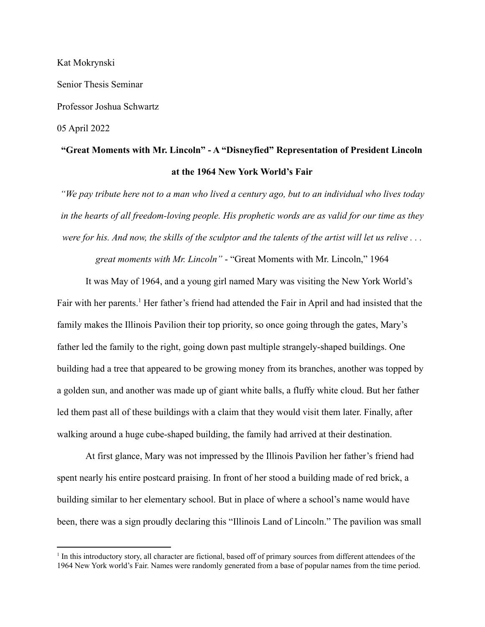Kat Mokrynski Senior Thesis Seminar Professor Joshua Schwartz 05 April 2022

# **"Great Moments with Mr. Lincoln" - A "Disneyfied" Representation of President Lincoln at the 1964 New York World's Fair**

*"We pay tribute here not to a man who lived a century ago, but to an individual who lives today in the hearts of all freedom-loving people. His prophetic words are as valid for our time as they were for his. And now, the skills of the sculptor and the talents of the artist will let us relive . . .*

*great moments with Mr. Lincoln"* - "Great Moments with Mr. Lincoln," 1964

It was May of 1964, and a young girl named Mary was visiting the New York World's Fair with her parents.<sup>1</sup> Her father's friend had attended the Fair in April and had insisted that the family makes the Illinois Pavilion their top priority, so once going through the gates, Mary's father led the family to the right, going down past multiple strangely-shaped buildings. One building had a tree that appeared to be growing money from its branches, another was topped by a golden sun, and another was made up of giant white balls, a fluffy white cloud. But her father led them past all of these buildings with a claim that they would visit them later. Finally, after walking around a huge cube-shaped building, the family had arrived at their destination.

At first glance, Mary was not impressed by the Illinois Pavilion her father's friend had spent nearly his entire postcard praising. In front of her stood a building made of red brick, a building similar to her elementary school. But in place of where a school's name would have been, there was a sign proudly declaring this "Illinois Land of Lincoln." The pavilion was small

<sup>1</sup> In this introductory story, all character are fictional, based off of primary sources from different attendees of the 1964 New York world's Fair. Names were randomly generated from a base of popular names from the time period.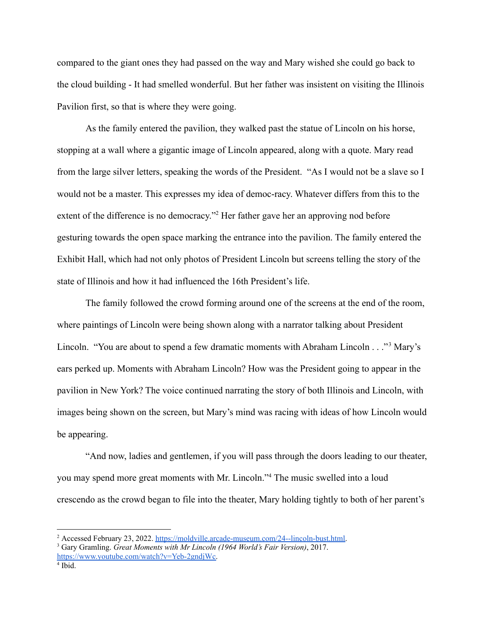compared to the giant ones they had passed on the way and Mary wished she could go back to the cloud building - It had smelled wonderful. But her father was insistent on visiting the Illinois Pavilion first, so that is where they were going.

As the family entered the pavilion, they walked past the statue of Lincoln on his horse, stopping at a wall where a gigantic image of Lincoln appeared, along with a quote. Mary read from the large silver letters, speaking the words of the President. "As I would not be a slave so I would not be a master. This expresses my idea of democ-racy. Whatever differs from this to the extent of the difference is no democracy."<sup>2</sup> Her father gave her an approving nod before gesturing towards the open space marking the entrance into the pavilion. The family entered the Exhibit Hall, which had not only photos of President Lincoln but screens telling the story of the state of Illinois and how it had influenced the 16th President's life.

The family followed the crowd forming around one of the screens at the end of the room, where paintings of Lincoln were being shown along with a narrator talking about President Lincoln. "You are about to spend a few dramatic moments with Abraham Lincoln . . ."<sup>3</sup> Mary's ears perked up. Moments with Abraham Lincoln? How was the President going to appear in the pavilion in New York? The voice continued narrating the story of both Illinois and Lincoln, with images being shown on the screen, but Mary's mind was racing with ideas of how Lincoln would be appearing.

"And now, ladies and gentlemen, if you will pass through the doors leading to our theater, you may spend more great moments with Mr. Lincoln."<sup>4</sup> The music swelled into a loud crescendo as the crowd began to file into the theater, Mary holding tightly to both of her parent's

<sup>&</sup>lt;sup>2</sup> Accessed February 23, 2022. [https://moldville.arcade-museum.com/24--lincoln-bust.html.](https://moldville.arcade-museum.com/24--lincoln-bust.html)

<sup>3</sup> Gary Gramling. *Great Moments with Mr Lincoln (1964 World's Fair Version)*, 2017. [https://www.youtube.com/watch?v=Yeb-2gndjWc.](https://www.youtube.com/watch?v=Yeb-2gndjWc)

<sup>4</sup> Ibid.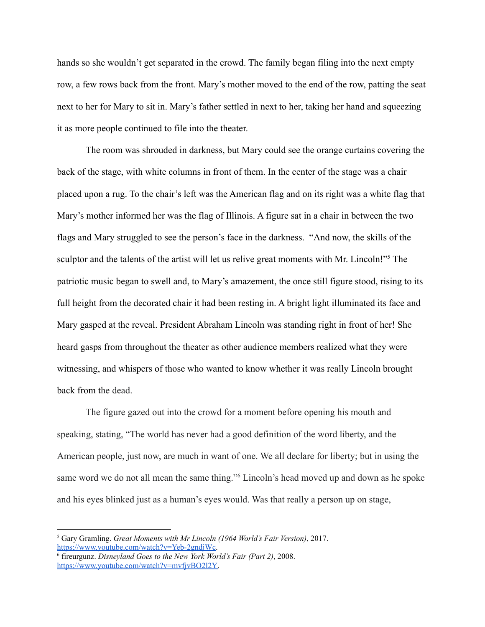hands so she wouldn't get separated in the crowd. The family began filing into the next empty row, a few rows back from the front. Mary's mother moved to the end of the row, patting the seat next to her for Mary to sit in. Mary's father settled in next to her, taking her hand and squeezing it as more people continued to file into the theater.

The room was shrouded in darkness, but Mary could see the orange curtains covering the back of the stage, with white columns in front of them. In the center of the stage was a chair placed upon a rug. To the chair's left was the American flag and on its right was a white flag that Mary's mother informed her was the flag of Illinois. A figure sat in a chair in between the two flags and Mary struggled to see the person's face in the darkness. "And now, the skills of the sculptor and the talents of the artist will let us relive great moments with Mr. Lincoln!"<sup>5</sup> The patriotic music began to swell and, to Mary's amazement, the once still figure stood, rising to its full height from the decorated chair it had been resting in. A bright light illuminated its face and Mary gasped at the reveal. President Abraham Lincoln was standing right in front of her! She heard gasps from throughout the theater as other audience members realized what they were witnessing, and whispers of those who wanted to know whether it was really Lincoln brought back from the dead.

The figure gazed out into the crowd for a moment before opening his mouth and speaking, stating, "The world has never had a good definition of the word liberty, and the American people, just now, are much in want of one. We all declare for liberty; but in using the same word we do not all mean the same thing."<sup>6</sup> Lincoln's head moved up and down as he spoke and his eyes blinked just as a human's eyes would. Was that really a person up on stage,

<sup>5</sup> Gary Gramling. *Great Moments with Mr Lincoln (1964 World's Fair Version)*, 2017. [https://www.youtube.com/watch?v=Yeb-2gndjWc.](https://www.youtube.com/watch?v=Yeb-2gndjWc)

<sup>6</sup> fireurgunz. *Disneyland Goes to the New York World's Fair (Part 2)*, 2008. [https://www.youtube.com/watch?v=mvfjvBO2l2Y.](https://www.youtube.com/watch?v=mvfjvBO2l2Y)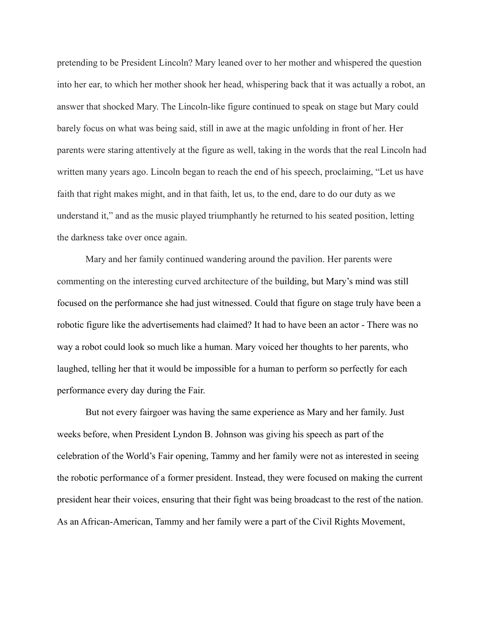pretending to be President Lincoln? Mary leaned over to her mother and whispered the question into her ear, to which her mother shook her head, whispering back that it was actually a robot, an answer that shocked Mary. The Lincoln-like figure continued to speak on stage but Mary could barely focus on what was being said, still in awe at the magic unfolding in front of her. Her parents were staring attentively at the figure as well, taking in the words that the real Lincoln had written many years ago. Lincoln began to reach the end of his speech, proclaiming, "Let us have faith that right makes might, and in that faith, let us, to the end, dare to do our duty as we understand it," and as the music played triumphantly he returned to his seated position, letting the darkness take over once again.

Mary and her family continued wandering around the pavilion. Her parents were commenting on the interesting curved architecture of the building, but Mary's mind was still focused on the performance she had just witnessed. Could that figure on stage truly have been a robotic figure like the advertisements had claimed? It had to have been an actor - There was no way a robot could look so much like a human. Mary voiced her thoughts to her parents, who laughed, telling her that it would be impossible for a human to perform so perfectly for each performance every day during the Fair.

But not every fairgoer was having the same experience as Mary and her family. Just weeks before, when President Lyndon B. Johnson was giving his speech as part of the celebration of the World's Fair opening, Tammy and her family were not as interested in seeing the robotic performance of a former president. Instead, they were focused on making the current president hear their voices, ensuring that their fight was being broadcast to the rest of the nation. As an African-American, Tammy and her family were a part of the Civil Rights Movement,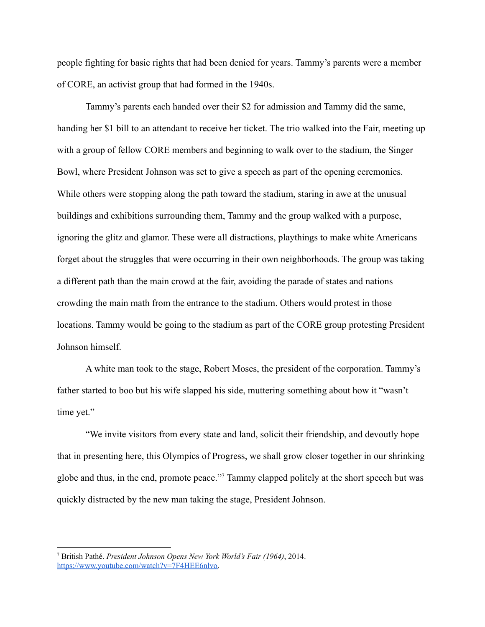people fighting for basic rights that had been denied for years. Tammy's parents were a member of CORE, an activist group that had formed in the 1940s.

Tammy's parents each handed over their \$2 for admission and Tammy did the same, handing her \$1 bill to an attendant to receive her ticket. The trio walked into the Fair, meeting up with a group of fellow CORE members and beginning to walk over to the stadium, the Singer Bowl, where President Johnson was set to give a speech as part of the opening ceremonies. While others were stopping along the path toward the stadium, staring in awe at the unusual buildings and exhibitions surrounding them, Tammy and the group walked with a purpose, ignoring the glitz and glamor. These were all distractions, playthings to make white Americans forget about the struggles that were occurring in their own neighborhoods. The group was taking a different path than the main crowd at the fair, avoiding the parade of states and nations crowding the main math from the entrance to the stadium. Others would protest in those locations. Tammy would be going to the stadium as part of the CORE group protesting President Johnson himself.

A white man took to the stage, Robert Moses, the president of the corporation. Tammy's father started to boo but his wife slapped his side, muttering something about how it "wasn't time yet."

"We invite visitors from every state and land, solicit their friendship, and devoutly hope that in presenting here, this Olympics of Progress, we shall grow closer together in our shrinking globe and thus, in the end, promote peace."<sup>7</sup> Tammy clapped politely at the short speech but was quickly distracted by the new man taking the stage, President Johnson.

<sup>7</sup> British Pathé. *President Johnson Opens New York World's Fair (1964)*, 2014[.](https://www.youtube.com/watch?v=7F4HEE6nlvo) [https://www.youtube.com/watch?v=7F4HEE6nlvo.](https://www.youtube.com/watch?v=7F4HEE6nlvo)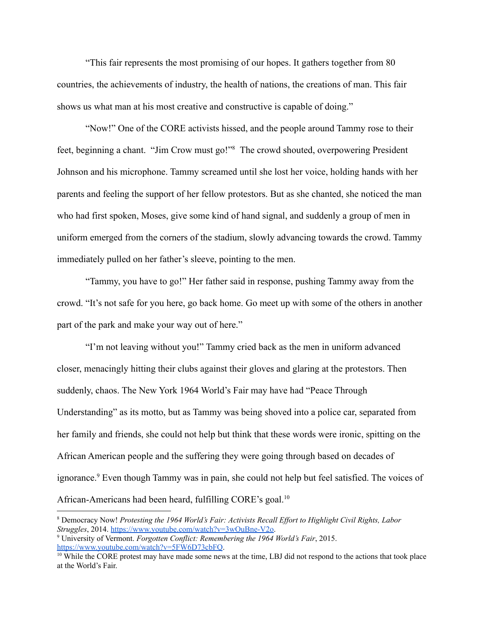"This fair represents the most promising of our hopes. It gathers together from 80 countries, the achievements of industry, the health of nations, the creations of man. This fair shows us what man at his most creative and constructive is capable of doing."

"Now!" One of the CORE activists hissed, and the people around Tammy rose to their feet, beginning a chant. "Jim Crow must go!"<sup>8</sup> The crowd shouted, overpowering President Johnson and his microphone. Tammy screamed until she lost her voice, holding hands with her parents and feeling the support of her fellow protestors. But as she chanted, she noticed the man who had first spoken, Moses, give some kind of hand signal, and suddenly a group of men in uniform emerged from the corners of the stadium, slowly advancing towards the crowd. Tammy immediately pulled on her father's sleeve, pointing to the men.

"Tammy, you have to go!" Her father said in response, pushing Tammy away from the crowd. "It's not safe for you here, go back home. Go meet up with some of the others in another part of the park and make your way out of here."

"I'm not leaving without you!" Tammy cried back as the men in uniform advanced closer, menacingly hitting their clubs against their gloves and glaring at the protestors. Then suddenly, chaos. The New York 1964 World's Fair may have had "Peace Through Understanding" as its motto, but as Tammy was being shoved into a police car, separated from her family and friends, she could not help but think that these words were ironic, spitting on the African American people and the suffering they were going through based on decades of ignorance.<sup>9</sup> Even though Tammy was in pain, she could not help but feel satisfied. The voices of African-Americans had been heard, fulfilling CORE's goal.<sup>10</sup>

<sup>8</sup> Democracy Now! *Protesting the 1964 World's Fair: Activists Recall Ef ort to Highlight Civil Rights, Labor Struggles*, 2014. [https://www.youtube.com/watch?v=3wOuBne-V2o.](https://www.youtube.com/watch?v=3wOuBne-V2o)

<sup>9</sup> University of Vermont. *Forgotten Conflict: Remembering the 1964 World's Fair*, 2015. <https://www.youtube.com/watch?v=5FW6D73cbFQ>.

 $10$  While the CORE protest may have made some news at the time, LBJ did not respond to the actions that took place at the World's Fair.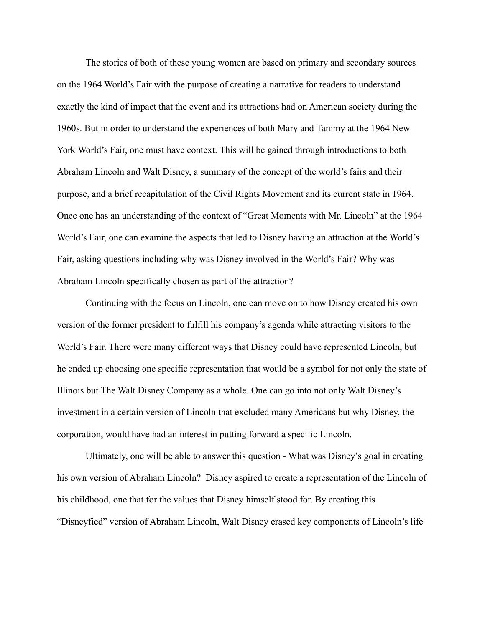The stories of both of these young women are based on primary and secondary sources on the 1964 World's Fair with the purpose of creating a narrative for readers to understand exactly the kind of impact that the event and its attractions had on American society during the 1960s. But in order to understand the experiences of both Mary and Tammy at the 1964 New York World's Fair, one must have context. This will be gained through introductions to both Abraham Lincoln and Walt Disney, a summary of the concept of the world's fairs and their purpose, and a brief recapitulation of the Civil Rights Movement and its current state in 1964. Once one has an understanding of the context of "Great Moments with Mr. Lincoln" at the 1964 World's Fair, one can examine the aspects that led to Disney having an attraction at the World's Fair, asking questions including why was Disney involved in the World's Fair? Why was Abraham Lincoln specifically chosen as part of the attraction?

Continuing with the focus on Lincoln, one can move on to how Disney created his own version of the former president to fulfill his company's agenda while attracting visitors to the World's Fair. There were many different ways that Disney could have represented Lincoln, but he ended up choosing one specific representation that would be a symbol for not only the state of Illinois but The Walt Disney Company as a whole. One can go into not only Walt Disney's investment in a certain version of Lincoln that excluded many Americans but why Disney, the corporation, would have had an interest in putting forward a specific Lincoln.

Ultimately, one will be able to answer this question - What was Disney's goal in creating his own version of Abraham Lincoln? Disney aspired to create a representation of the Lincoln of his childhood, one that for the values that Disney himself stood for. By creating this "Disneyfied" version of Abraham Lincoln, Walt Disney erased key components of Lincoln's life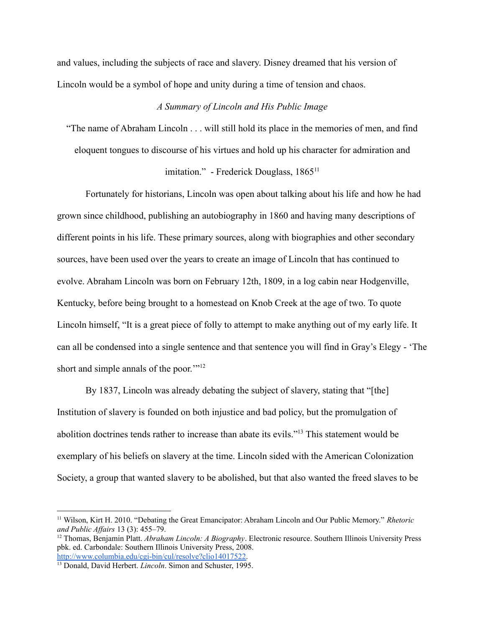and values, including the subjects of race and slavery. Disney dreamed that his version of Lincoln would be a symbol of hope and unity during a time of tension and chaos.

# *A Summary of Lincoln and His Public Image*

"The name of Abraham Lincoln . . . will still hold its place in the memories of men, and find

eloquent tongues to discourse of his virtues and hold up his character for admiration and

# imitation." - Frederick Douglass, 1865<sup>11</sup>

Fortunately for historians, Lincoln was open about talking about his life and how he had grown since childhood, publishing an autobiography in 1860 and having many descriptions of different points in his life. These primary sources, along with biographies and other secondary sources, have been used over the years to create an image of Lincoln that has continued to evolve. Abraham Lincoln was born on February 12th, 1809, in a log cabin near Hodgenville, Kentucky, before being brought to a homestead on Knob Creek at the age of two. To quote Lincoln himself, "It is a great piece of folly to attempt to make anything out of my early life. It can all be condensed into a single sentence and that sentence you will find in Gray's Elegy - 'The short and simple annals of the poor."<sup>12</sup>

By 1837, Lincoln was already debating the subject of slavery, stating that "[the] Institution of slavery is founded on both injustice and bad policy, but the promulgation of abolition doctrines tends rather to increase than abate its evils."<sup>13</sup> This statement would be exemplary of his beliefs on slavery at the time. Lincoln sided with the American Colonization Society, a group that wanted slavery to be abolished, but that also wanted the freed slaves to be

<sup>11</sup> Wilson, Kirt H. 2010. "Debating the Great Emancipator: Abraham Lincoln and Our Public Memory." *Rhetoric and Public Af airs* 13 (3): 455–79.

<sup>12</sup> Thomas, Benjamin Platt. *Abraham Lincoln: A Biography*. Electronic resource. Southern Illinois University Press pbk. ed. Carbondale: Southern Illinois University Press, 2008[.](http://www.columbia.edu/cgi-bin/cul/resolve?clio14017522) [http://www.columbia.edu/cgi-bin/cul/resolve?clio14017522.](http://www.columbia.edu/cgi-bin/cul/resolve?clio14017522)

<sup>13</sup> Donald, David Herbert. *Lincoln*. Simon and Schuster, 1995.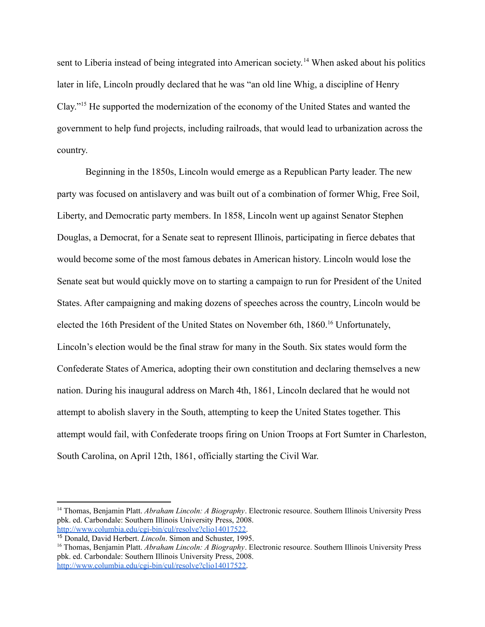sent to Liberia instead of being integrated into American society.<sup>14</sup> When asked about his politics later in life, Lincoln proudly declared that he was "an old line Whig, a discipline of Henry Clay."<sup>15</sup> He supported the modernization of the economy of the United States and wanted the government to help fund projects, including railroads, that would lead to urbanization across the country.

Beginning in the 1850s, Lincoln would emerge as a Republican Party leader. The new party was focused on antislavery and was built out of a combination of former Whig, Free Soil, Liberty, and Democratic party members. In 1858, Lincoln went up against Senator Stephen Douglas, a Democrat, for a Senate seat to represent Illinois, participating in fierce debates that would become some of the most famous debates in American history. Lincoln would lose the Senate seat but would quickly move on to starting a campaign to run for President of the United States. After campaigning and making dozens of speeches across the country, Lincoln would be elected the 16th President of the United States on November 6th, 1860.<sup>16</sup> Unfortunately, Lincoln's election would be the final straw for many in the South. Six states would form the Confederate States of America, adopting their own constitution and declaring themselves a new nation. During his inaugural address on March 4th, 1861, Lincoln declared that he would not attempt to abolish slavery in the South, attempting to keep the United States together. This attempt would fail, with Confederate troops firing on Union Troops at Fort Sumter in Charleston, South Carolina, on April 12th, 1861, officially starting the Civil War.

<sup>14</sup> Thomas, Benjamin Platt. *Abraham Lincoln: A Biography*. Electronic resource. Southern Illinois University Press pbk. ed. Carbondale: Southern Illinois University Press, 2008[.](http://www.columbia.edu/cgi-bin/cul/resolve?clio14017522) [http://www.columbia.edu/cgi-bin/cul/resolve?clio14017522.](http://www.columbia.edu/cgi-bin/cul/resolve?clio14017522)

<sup>15</sup> Donald, David Herbert. *Lincoln*. Simon and Schuster, 1995.

<sup>16</sup> Thomas, Benjamin Platt. *Abraham Lincoln: A Biography*. Electronic resource. Southern Illinois University Press pbk. ed. Carbondale: Southern Illinois University Press, 2008[.](http://www.columbia.edu/cgi-bin/cul/resolve?clio14017522) [http://www.columbia.edu/cgi-bin/cul/resolve?clio14017522.](http://www.columbia.edu/cgi-bin/cul/resolve?clio14017522)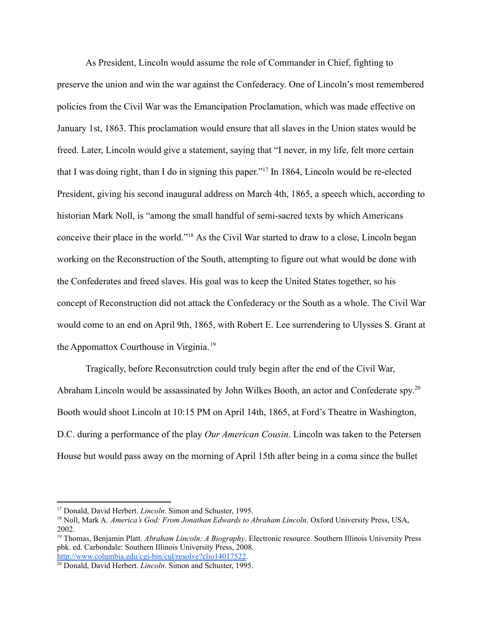As President, Lincoln would assume the role of Commander in Chief, fighting to preserve the union and win the war against the Confederacy. One of Lincoln's most remembered policies from the Civil War was the Emancipation Proclamation, which was made effective on January 1st, 1863. This proclamation would ensure that all slaves in the Union states would be freed. Later, Lincoln would give a statement, saying that "I never, in my life, felt more certain that I was doing right, than I do in signing this paper."<sup>17</sup> In 1864, Lincoln would be re-elected President, giving his second inaugural address on March 4th, 1865, a speech which, according to historian Mark Noll, is "among the small handful of semi-sacred texts by which Americans conceive their place in the world."<sup>18</sup> As the Civil War started to draw to a close, Lincoln began working on the Reconstruction of the South, attempting to figure out what would be done with the Confederates and freed slaves. His goal was to keep the United States together, so his concept of Reconstruction did not attack the Confederacy or the South as a whole. The Civil War would come to an end on April 9th, 1865, with Robert E. Lee surrendering to Ulysses S. Grant at the Appomattox Courthouse in Virginia. <sup>19</sup>

Tragically, before Reconsutrction could truly begin after the end of the Civil War, Abraham Lincoln would be assassinated by John Wilkes Booth, an actor and Confederate spy.<sup>20</sup> Booth would shoot Lincoln at 10:15 PM on April 14th, 1865, at Ford's Theatre in Washington, D.C. during a performance of the play *Our American Cousin*. Lincoln was taken to the Petersen House but would pass away on the morning of April 15th after being in a coma since the bullet

<sup>17</sup> Donald, David Herbert. *Lincoln*. Simon and Schuster, 1995.

<sup>18</sup> Noll, Mark A. *America's God: From Jonathan Edwards to Abraham Lincoln*. Oxford University Press, USA, 2002.

<sup>19</sup> Thomas, Benjamin Platt. *Abraham Lincoln: A Biography*. Electronic resource. Southern Illinois University Press pbk. ed. Carbondale: Southern Illinois University Press, 2008[.](http://www.columbia.edu/cgi-bin/cul/resolve?clio14017522) [http://www.columbia.edu/cgi-bin/cul/resolve?clio14017522.](http://www.columbia.edu/cgi-bin/cul/resolve?clio14017522)

<sup>20</sup> Donald, David Herbert. *Lincoln*. Simon and Schuster, 1995.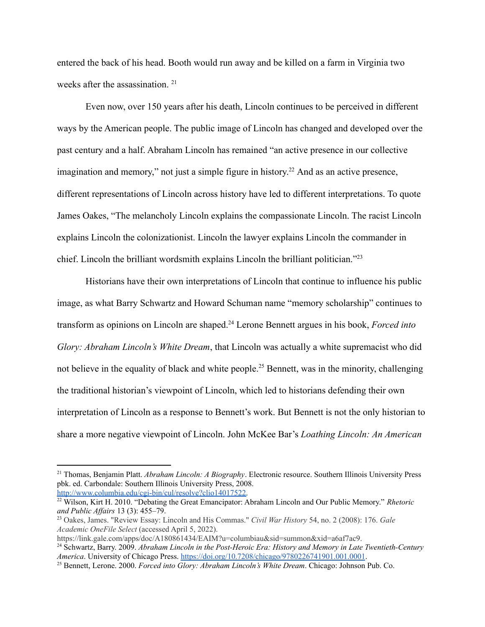entered the back of his head. Booth would run away and be killed on a farm in Virginia two weeks after the assassination.<sup>21</sup>

Even now, over 150 years after his death, Lincoln continues to be perceived in different ways by the American people. The public image of Lincoln has changed and developed over the past century and a half. Abraham Lincoln has remained "an active presence in our collective imagination and memory," not just a simple figure in history.<sup>22</sup> And as an active presence, different representations of Lincoln across history have led to different interpretations. To quote James Oakes, "The melancholy Lincoln explains the compassionate Lincoln. The racist Lincoln explains Lincoln the colonizationist. Lincoln the lawyer explains Lincoln the commander in chief. Lincoln the brilliant wordsmith explains Lincoln the brilliant politician."<sup>23</sup>

Historians have their own interpretations of Lincoln that continue to influence his public image, as what Barry Schwartz and Howard Schuman name "memory scholarship" continues to transform as opinions on Lincoln are shaped.<sup>24</sup> Lerone Bennett argues in his book, *Forced into Glory: Abraham Lincoln's White Dream*, that Lincoln was actually a white supremacist who did not believe in the equality of black and white people.<sup>25</sup> Bennett, was in the minority, challenging the traditional historian's viewpoint of Lincoln, which led to historians defending their own interpretation of Lincoln as a response to Bennett's work. But Bennett is not the only historian to share a more negative viewpoint of Lincoln. John McKee Bar's *Loathing Lincoln: An American*

<sup>21</sup> Thomas, Benjamin Platt. *Abraham Lincoln: A Biography*. Electronic resource. Southern Illinois University Press pbk. ed. Carbondale: Southern Illinois University Press, 2008[.](http://www.columbia.edu/cgi-bin/cul/resolve?clio14017522) [http://www.columbia.edu/cgi-bin/cul/resolve?clio14017522.](http://www.columbia.edu/cgi-bin/cul/resolve?clio14017522)

<sup>22</sup> Wilson, Kirt H. 2010. "Debating the Great Emancipator: Abraham Lincoln and Our Public Memory." *Rhetoric and Public Af airs* 13 (3): 455–79.

<sup>23</sup> Oakes, James. "Review Essay: Lincoln and His Commas." *Civil War History* 54, no. 2 (2008): 176. *Gale Academic OneFile Select* (accessed April 5, 2022).

https://link.gale.com/apps/doc/A180861434/EAIM?u=columbiau&sid=summon&xid=a6af7ac9.

<sup>24</sup> Schwartz, Barry. 2009. *Abraham Lincoln in the Post-Heroic Era: History and Memory in Late Twentieth-Century America*. University of Chicago Press. <https://doi.org/10.7208/chicago/9780226741901.001.0001>.

<sup>25</sup> Bennett, Lerone. 2000. *Forced into Glory: Abraham Lincoln's White Dream*. Chicago: Johnson Pub. Co.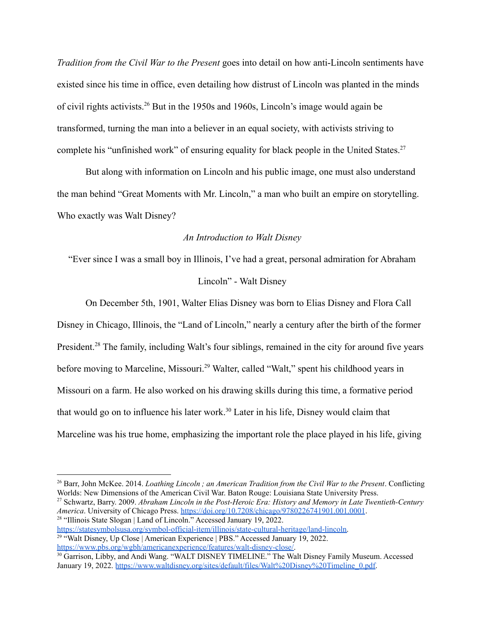*Tradition from the Civil War to the Present* goes into detail on how anti-Lincoln sentiments have existed since his time in office, even detailing how distrust of Lincoln was planted in the minds of civil rights activists.<sup>26</sup> But in the 1950s and 1960s, Lincoln's image would again be transformed, turning the man into a believer in an equal society, with activists striving to complete his "unfinished work" of ensuring equality for black people in the United States.<sup>27</sup>

But along with information on Lincoln and his public image, one must also understand the man behind "Great Moments with Mr. Lincoln," a man who built an empire on storytelling. Who exactly was Walt Disney?

## *An Introduction to Walt Disney*

"Ever since I was a small boy in Illinois, I've had a great, personal admiration for Abraham

# Lincoln" - Walt Disney

On December 5th, 1901, Walter Elias Disney was born to Elias Disney and Flora Call Disney in Chicago, Illinois, the "Land of Lincoln," nearly a century after the birth of the former President.<sup>28</sup> The family, including Walt's four siblings, remained in the city for around five years before moving to Marceline, Missouri.<sup>29</sup> Walter, called "Walt," spent his childhood years in Missouri on a farm. He also worked on his drawing skills during this time, a formative period that would go on to influence his later work.<sup>30</sup> Later in his life, Disney would claim that Marceline was his true home, emphasizing the important role the place played in his life, giving

<sup>28</sup> "Illinois State Slogan | Land of Lincoln." Accessed January 19, 2022. <sup>27</sup> Schwartz, Barry. 2009. *Abraham Lincoln in the Post-Heroic Era: History and Memory in Late Twentieth-Century America*. University of Chicago Press. <https://doi.org/10.7208/chicago/9780226741901.001.0001>.

<sup>29 "</sup>Walt Disney, Up Close | American Experience | PBS." Accessed January 19, 2022. [https://statesymbolsusa.org/symbol-official-item/illinois/state-cultural-heritage/land-lincoln.](https://statesymbolsusa.org/symbol-official-item/illinois/state-cultural-heritage/land-lincoln)

[https://www.pbs.org/wgbh/americanexperience/features/walt-disney-close/.](https://www.pbs.org/wgbh/americanexperience/features/walt-disney-close/)

<sup>26</sup> Barr, John McKee. 2014. *Loathing Lincoln ; an American Tradition from the Civil War to the Present*. Conflicting Worlds: New Dimensions of the American Civil War. Baton Rouge: Louisiana State University Press.

<sup>&</sup>lt;sup>30</sup> Garrison, Libby, and Andi Wang. "WALT DISNEY TIMELINE." The Walt Disney Family Museum. Accessed January 19, 2022. [https://www.waltdisney.org/sites/default/files/Walt%20Disney%20Timeline\\_0.pdf](https://www.waltdisney.org/sites/default/files/Walt%20Disney%20Timeline_0.pdf).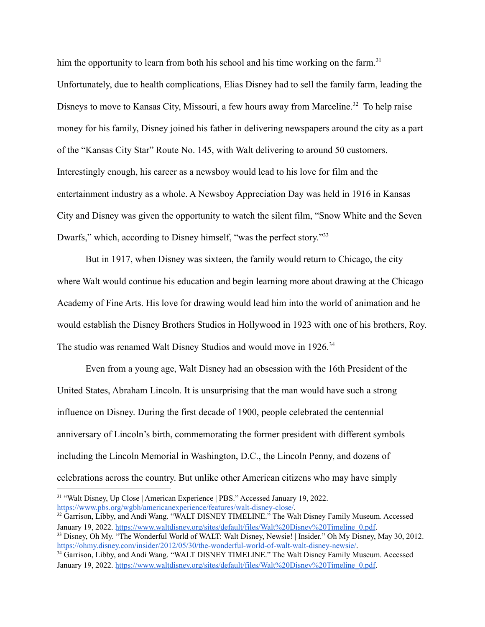him the opportunity to learn from both his school and his time working on the farm.<sup>31</sup> Unfortunately, due to health complications, Elias Disney had to sell the family farm, leading the Disneys to move to Kansas City, Missouri, a few hours away from Marceline.<sup>32</sup> To help raise money for his family, Disney joined his father in delivering newspapers around the city as a part of the "Kansas City Star" Route No. 145, with Walt delivering to around 50 customers. Interestingly enough, his career as a newsboy would lead to his love for film and the entertainment industry as a whole. A Newsboy Appreciation Day was held in 1916 in Kansas City and Disney was given the opportunity to watch the silent film, "Snow White and the Seven Dwarfs," which, according to Disney himself, "was the perfect story."<sup>33</sup>

But in 1917, when Disney was sixteen, the family would return to Chicago, the city where Walt would continue his education and begin learning more about drawing at the Chicago Academy of Fine Arts. His love for drawing would lead him into the world of animation and he would establish the Disney Brothers Studios in Hollywood in 1923 with one of his brothers, Roy. The studio was renamed Walt Disney Studios and would move in 1926.<sup>34</sup>

Even from a young age, Walt Disney had an obsession with the 16th President of the United States, Abraham Lincoln. It is unsurprising that the man would have such a strong influence on Disney. During the first decade of 1900, people celebrated the centennial anniversary of Lincoln's birth, commemorating the former president with different symbols including the Lincoln Memorial in Washington, D.C., the Lincoln Penny, and dozens of celebrations across the country. But unlike other American citizens who may have simply

<sup>31</sup> "Walt Disney, Up Close | American Experience | PBS." Accessed January 19, 2022. [https://www.pbs.org/wgbh/americanexperience/features/walt-disney-close/.](https://www.pbs.org/wgbh/americanexperience/features/walt-disney-close/)

<sup>&</sup>lt;sup>32</sup> Garrison, Libby, and Andi Wang. "WALT DISNEY TIMELINE." The Walt Disney Family Museum. Accessed January 19, 2022. [https://www.waltdisney.org/sites/default/files/Walt%20Disney%20Timeline\\_0.pdf](https://www.waltdisney.org/sites/default/files/Walt%20Disney%20Timeline_0.pdf).

<sup>&</sup>lt;sup>33</sup> Disney, Oh My. "The Wonderful World of WALT: Walt Disney, Newsie! | Insider." Oh My Disney, May 30, 2012. [https://ohmy.disney.com/insider/2012/05/30/the-wonderful-world-of-walt-walt-disney-newsie/.](https://ohmy.disney.com/insider/2012/05/30/the-wonderful-world-of-walt-walt-disney-newsie/)

<sup>&</sup>lt;sup>34</sup> Garrison, Libby, and Andi Wang. "WALT DISNEY TIMELINE." The Walt Disney Family Museum. Accessed January 19, 2022. [https://www.waltdisney.org/sites/default/files/Walt%20Disney%20Timeline\\_0.pdf](https://www.waltdisney.org/sites/default/files/Walt%20Disney%20Timeline_0.pdf).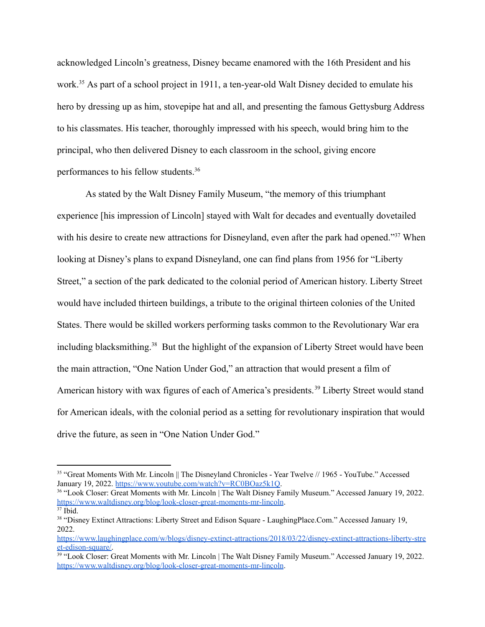acknowledged Lincoln's greatness, Disney became enamored with the 16th President and his work.<sup>35</sup> As part of a school project in 1911, a ten-year-old Walt Disney decided to emulate his hero by dressing up as him, stovepipe hat and all, and presenting the famous Gettysburg Address to his classmates. His teacher, thoroughly impressed with his speech, would bring him to the principal, who then delivered Disney to each classroom in the school, giving encore performances to his fellow students.<sup>36</sup>

As stated by the Walt Disney Family Museum, "the memory of this triumphant experience [his impression of Lincoln] stayed with Walt for decades and eventually dovetailed with his desire to create new attractions for Disneyland, even after the park had opened."<sup>37</sup> When looking at Disney's plans to expand Disneyland, one can find plans from 1956 for "Liberty Street," a section of the park dedicated to the colonial period of American history. Liberty Street would have included thirteen buildings, a tribute to the original thirteen colonies of the United States. There would be skilled workers performing tasks common to the Revolutionary War era including blacksmithing.<sup>38</sup> But the highlight of the expansion of Liberty Street would have been the main attraction, "One Nation Under God," an attraction that would present a film of American history with wax figures of each of America's presidents.<sup>39</sup> Liberty Street would stand for American ideals, with the colonial period as a setting for revolutionary inspiration that would drive the future, as seen in "One Nation Under God."

<sup>&</sup>lt;sup>35</sup> "Great Moments With Mr. Lincoln || The Disneyland Chronicles - Year Twelve // 1965 - YouTube." Accessed January 19, 2022. [https://www.youtube.com/watch?v=RC0BOaz5k1Q.](https://www.youtube.com/watch?v=RC0BOaz5k1Q)

<sup>&</sup>lt;sup>36</sup> "Look Closer: Great Moments with Mr. Lincoln | The Walt Disney Family Museum." Accessed January 19, 2022. <https://www.waltdisney.org/blog/look-closer-great-moments-mr-lincoln>.

 $37$  Ibid.

<sup>38</sup> "Disney Extinct Attractions: Liberty Street and Edison Square - LaughingPlace.Com." Accessed January 19, 2022[.](https://www.laughingplace.com/w/blogs/disney-extinct-attractions/2018/03/22/disney-extinct-attractions-liberty-street-edison-square/)

[https://www.laughingplace.com/w/blogs/disney-extinct-attractions/2018/03/22/disney-extinct-attractions-liberty-stre](https://www.laughingplace.com/w/blogs/disney-extinct-attractions/2018/03/22/disney-extinct-attractions-liberty-street-edison-square/) [et-edison-square/.](https://www.laughingplace.com/w/blogs/disney-extinct-attractions/2018/03/22/disney-extinct-attractions-liberty-street-edison-square/)

<sup>&</sup>lt;sup>39</sup> "Look Closer: Great Moments with Mr. Lincoln | The Walt Disney Family Museum." Accessed January 19, 2022. <https://www.waltdisney.org/blog/look-closer-great-moments-mr-lincoln>.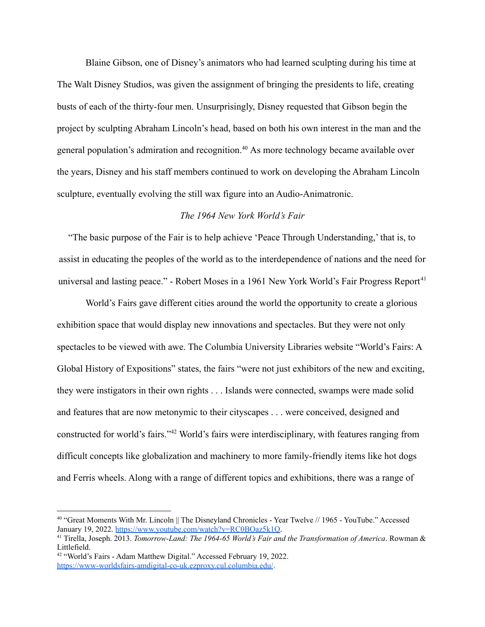Blaine Gibson, one of Disney's animators who had learned sculpting during his time at The Walt Disney Studios, was given the assignment of bringing the presidents to life, creating busts of each of the thirty-four men. Unsurprisingly, Disney requested that Gibson begin the project by sculpting Abraham Lincoln's head, based on both his own interest in the man and the general population's admiration and recognition.<sup>40</sup> As more technology became available over the years, Disney and his staff members continued to work on developing the Abraham Lincoln sculpture, eventually evolving the still wax figure into an Audio-Animatronic.

## *The 1964 New York World's Fair*

"The basic purpose of the Fair is to help achieve 'Peace Through Understanding,' that is, to assist in educating the peoples of the world as to the interdependence of nations and the need for universal and lasting peace." - Robert Moses in a 1961 New York World's Fair Progress Report<sup>41</sup>

World's Fairs gave different cities around the world the opportunity to create a glorious exhibition space that would display new innovations and spectacles. But they were not only spectacles to be viewed with awe. The Columbia University Libraries website "World's Fairs: A Global History of Expositions" states, the fairs "were not just exhibitors of the new and exciting, they were instigators in their own rights . . . Islands were connected, swamps were made solid and features that are now metonymic to their cityscapes . . . were conceived, designed and constructed for world's fairs."<sup>42</sup> World's fairs were interdisciplinary, with features ranging from difficult concepts like globalization and machinery to more family-friendly items like hot dogs and Ferris wheels. Along with a range of different topics and exhibitions, there was a range of

<sup>40</sup> "Great Moments With Mr. Lincoln || The Disneyland Chronicles - Year Twelve // 1965 - YouTube." Accessed January 19, 2022. [https://www.youtube.com/watch?v=RC0BOaz5k1Q.](https://www.youtube.com/watch?v=RC0BOaz5k1Q)

<sup>41</sup> Tirella, Joseph. 2013. *Tomorrow-Land: The 1964-65 World's Fair and the Transformation of America*. Rowman & Littlefield.

<sup>&</sup>lt;sup>42</sup> "World's Fairs - Adam Matthew Digital." Accessed February 19, 2022. <https://www-worldsfairs-amdigital-co-uk.ezproxy.cul.columbia.edu/>.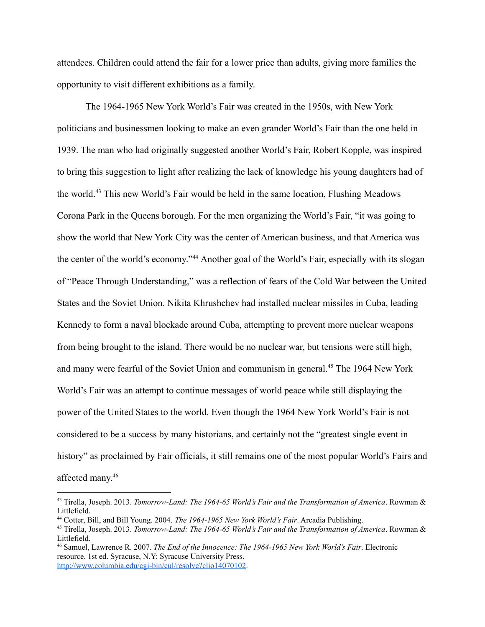attendees. Children could attend the fair for a lower price than adults, giving more families the opportunity to visit different exhibitions as a family.

The 1964-1965 New York World's Fair was created in the 1950s, with New York politicians and businessmen looking to make an even grander World's Fair than the one held in 1939. The man who had originally suggested another World's Fair, Robert Kopple, was inspired to bring this suggestion to light after realizing the lack of knowledge his young daughters had of the world.<sup>43</sup> This new World's Fair would be held in the same location, Flushing Meadows Corona Park in the Queens borough. For the men organizing the World's Fair, "it was going to show the world that New York City was the center of American business, and that America was the center of the world's economy."<sup>44</sup> Another goal of the World's Fair, especially with its slogan of "Peace Through Understanding," was a reflection of fears of the Cold War between the United States and the Soviet Union. Nikita Khrushchev had installed nuclear missiles in Cuba, leading Kennedy to form a naval blockade around Cuba, attempting to prevent more nuclear weapons from being brought to the island. There would be no nuclear war, but tensions were still high, and many were fearful of the Soviet Union and communism in general.<sup>45</sup> The 1964 New York World's Fair was an attempt to continue messages of world peace while still displaying the power of the United States to the world. Even though the 1964 New York World's Fair is not considered to be a success by many historians, and certainly not the "greatest single event in history" as proclaimed by Fair officials, it still remains one of the most popular World's Fairs and affected many. 46

<sup>43</sup> Tirella, Joseph. 2013. *Tomorrow-Land: The 1964-65 World's Fair and the Transformation of America*. Rowman & Littlefield.

<sup>44</sup> Cotter, Bill, and Bill Young. 2004. *The 1964-1965 New York World's Fair*. Arcadia Publishing.

<sup>45</sup> Tirella, Joseph. 2013. *Tomorrow-Land: The 1964-65 World's Fair and the Transformation of America*. Rowman & Littlefield.

<sup>46</sup> Samuel, Lawrence R. 2007. *The End of the Innocence: The 1964-1965 New York World's Fair*. Electronic resource. 1st ed. Syracuse, N.Y: Syracuse University Press. [http://www.columbia.edu/cgi-bin/cul/resolve?clio14070102.](http://www.columbia.edu/cgi-bin/cul/resolve?clio14070102)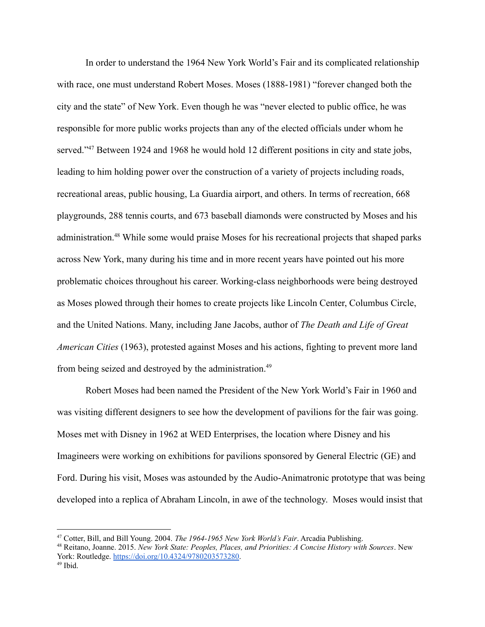In order to understand the 1964 New York World's Fair and its complicated relationship with race, one must understand Robert Moses. Moses (1888-1981) "forever changed both the city and the state" of New York. Even though he was "never elected to public office, he was responsible for more public works projects than any of the elected officials under whom he served."<sup>47</sup> Between 1924 and 1968 he would hold 12 different positions in city and state jobs, leading to him holding power over the construction of a variety of projects including roads, recreational areas, public housing, La Guardia airport, and others. In terms of recreation, 668 playgrounds, 288 tennis courts, and 673 baseball diamonds were constructed by Moses and his administration.<sup>48</sup> While some would praise Moses for his recreational projects that shaped parks across New York, many during his time and in more recent years have pointed out his more problematic choices throughout his career. Working-class neighborhoods were being destroyed as Moses plowed through their homes to create projects like Lincoln Center, Columbus Circle, and the United Nations. Many, including Jane Jacobs, author of *The Death and Life of Great American Cities* (1963), protested against Moses and his actions, fighting to prevent more land from being seized and destroyed by the administration.<sup>49</sup>

Robert Moses had been named the President of the New York World's Fair in 1960 and was visiting different designers to see how the development of pavilions for the fair was going. Moses met with Disney in 1962 at WED Enterprises, the location where Disney and his Imagineers were working on exhibitions for pavilions sponsored by General Electric (GE) and Ford. During his visit, Moses was astounded by the Audio-Animatronic prototype that was being developed into a replica of Abraham Lincoln, in awe of the technology. Moses would insist that

<sup>47</sup> Cotter, Bill, and Bill Young. 2004. *The 1964-1965 New York World's Fair*. Arcadia Publishing.

<sup>49</sup> Ibid. <sup>48</sup> Reitano, Joanne. 2015. *New York State: Peoples, Places, and Priorities: A Concise History with Sources*. New York: Routledge. <https://doi.org/10.4324/9780203573280>.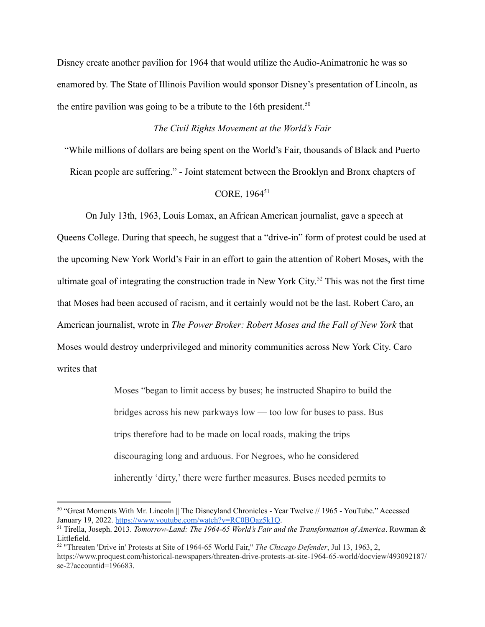Disney create another pavilion for 1964 that would utilize the Audio-Animatronic he was so enamored by. The State of Illinois Pavilion would sponsor Disney's presentation of Lincoln, as the entire pavilion was going to be a tribute to the 16th president.<sup>50</sup>

# *The Civil Rights Movement at the World's Fair*

"While millions of dollars are being spent on the World's Fair, thousands of Black and Puerto

Rican people are suffering." - Joint statement between the Brooklyn and Bronx chapters of

# CORE, 1964<sup>51</sup>

On July 13th, 1963, Louis Lomax, an African American journalist, gave a speech at Queens College. During that speech, he suggest that a "drive-in" form of protest could be used at the upcoming New York World's Fair in an effort to gain the attention of Robert Moses, with the ultimate goal of integrating the construction trade in New York City. <sup>52</sup> This was not the first time that Moses had been accused of racism, and it certainly would not be the last. Robert Caro, an American journalist, wrote in *The Power Broker: Robert Moses and the Fall of New York* that Moses would destroy underprivileged and minority communities across New York City. Caro writes that

> Moses "began to limit access by buses; he instructed Shapiro to build the bridges across his new parkways low — too low for buses to pass. Bus trips therefore had to be made on local roads, making the trips discouraging long and arduous. For Negroes, who he considered inherently 'dirty,' there were further measures. Buses needed permits to

<sup>50</sup> "Great Moments With Mr. Lincoln || The Disneyland Chronicles - Year Twelve // 1965 - YouTube." Accessed January 19, 2022. [https://www.youtube.com/watch?v=RC0BOaz5k1Q.](https://www.youtube.com/watch?v=RC0BOaz5k1Q)

<sup>51</sup> Tirella, Joseph. 2013. *Tomorrow-Land: The 1964-65 World's Fair and the Transformation of America*. Rowman & Littlefield.

<sup>52</sup> "Threaten 'Drive in' Protests at Site of 1964-65 World Fair," *The Chicago Defender*, Jul 13, 1963, 2, https://www.proquest.com/historical-newspapers/threaten-drive-protests-at-site-1964-65-world/docview/493092187/ se-2?accountid=196683.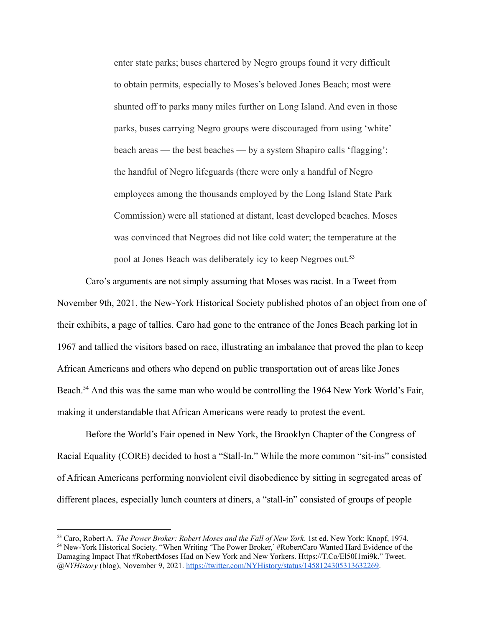enter state parks; buses chartered by Negro groups found it very difficult to obtain permits, especially to Moses's beloved Jones Beach; most were shunted off to parks many miles further on Long Island. And even in those parks, buses carrying Negro groups were discouraged from using 'white' beach areas — the best beaches — by a system Shapiro calls 'flagging'; the handful of Negro lifeguards (there were only a handful of Negro employees among the thousands employed by the Long Island State Park Commission) were all stationed at distant, least developed beaches. Moses was convinced that Negroes did not like cold water; the temperature at the pool at Jones Beach was deliberately icy to keep Negroes out.<sup>53</sup>

Caro's arguments are not simply assuming that Moses was racist. In a Tweet from November 9th, 2021, the New-York Historical Society published photos of an object from one of their exhibits, a page of tallies. Caro had gone to the entrance of the Jones Beach parking lot in 1967 and tallied the visitors based on race, illustrating an imbalance that proved the plan to keep African Americans and others who depend on public transportation out of areas like Jones Beach.<sup>54</sup> And this was the same man who would be controlling the 1964 New York World's Fair, making it understandable that African Americans were ready to protest the event.

Before the World's Fair opened in New York, the Brooklyn Chapter of the Congress of Racial Equality (CORE) decided to host a "Stall-In." While the more common "sit-ins" consisted of African Americans performing nonviolent civil disobedience by sitting in segregated areas of different places, especially lunch counters at diners, a "stall-in" consisted of groups of people

<sup>&</sup>lt;sup>54</sup> New-York Historical Society. "When Writing 'The Power Broker,' #RobertCaro Wanted Hard Evidence of the Damaging Impact That #RobertMoses Had on New York and New Yorkers. Https://T.Co/El50I1mi9k." Tweet. *@NYHistory* (blog), November 9, 2021. [https://twitter.com/NYHistory/status/1458124305313632269.](https://twitter.com/NYHistory/status/1458124305313632269) <sup>53</sup> Caro, Robert A. *The Power Broker: Robert Moses and the Fall of New York*. 1st ed. New York: Knopf, 1974.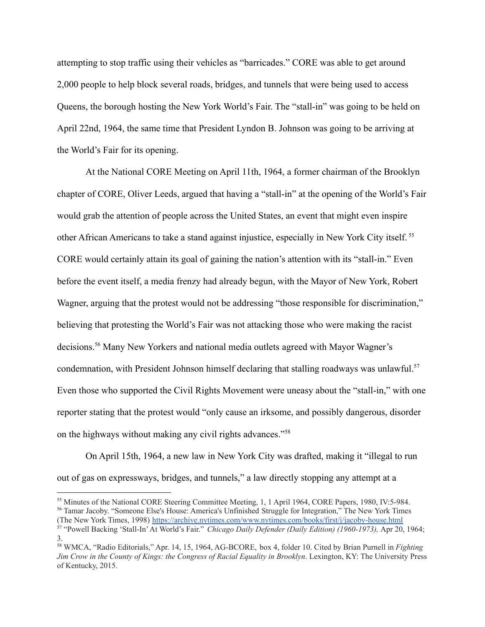attempting to stop traffic using their vehicles as "barricades." CORE was able to get around 2,000 people to help block several roads, bridges, and tunnels that were being used to access Queens, the borough hosting the New York World's Fair. The "stall-in" was going to be held on April 22nd, 1964, the same time that President Lyndon B. Johnson was going to be arriving at the World's Fair for its opening.

At the National CORE Meeting on April 11th, 1964, a former chairman of the Brooklyn chapter of CORE, Oliver Leeds, argued that having a "stall-in" at the opening of the World's Fair would grab the attention of people across the United States, an event that might even inspire other African Americans to take a stand against injustice, especially in New York City itself. <sup>55</sup> CORE would certainly attain its goal of gaining the nation's attention with its "stall-in." Even before the event itself, a media frenzy had already begun, with the Mayor of New York, Robert Wagner, arguing that the protest would not be addressing "those responsible for discrimination," believing that protesting the World's Fair was not attacking those who were making the racist decisions.<sup>56</sup> Many New Yorkers and national media outlets agreed with Mayor Wagner's condemnation, with President Johnson himself declaring that stalling roadways was unlawful.<sup>57</sup> Even those who supported the Civil Rights Movement were uneasy about the "stall-in," with one reporter stating that the protest would "only cause an irksome, and possibly dangerous, disorder on the highways without making any civil rights advances."<sup>58</sup>

On April 15th, 1964, a new law in New York City was drafted, making it "illegal to run out of gas on expressways, bridges, and tunnels," a law directly stopping any attempt at a

<sup>56</sup> Tamar Jacoby. "Someone Else's House: America's Unfinished Struggle for Integration," The New York Times (The New York Times, 1998) <https://archive.nytimes.com/www.nytimes.com/books/first/j/jacoby-house.html> <sup>55</sup> Minutes of the National CORE Steering Committee Meeting, 1, 1 April 1964, CORE Papers, 1980, IV:5-984.

<sup>57</sup> "Powell Backing 'Stall-In'At World's Fair." *Chicago Daily Defender (Daily Edition) (1960-1973),* Apr 20, 1964; 3.

<sup>58</sup> WMCA, "Radio Editorials," Apr. 14, 15, 1964, AG-BCORE, box 4, folder 10. Cited by Brian Purnell in *Fighting Jim Crow in the County of Kings: the Congress of Racial Equality in Brooklyn*. Lexington, KY: The University Press of Kentucky, 2015.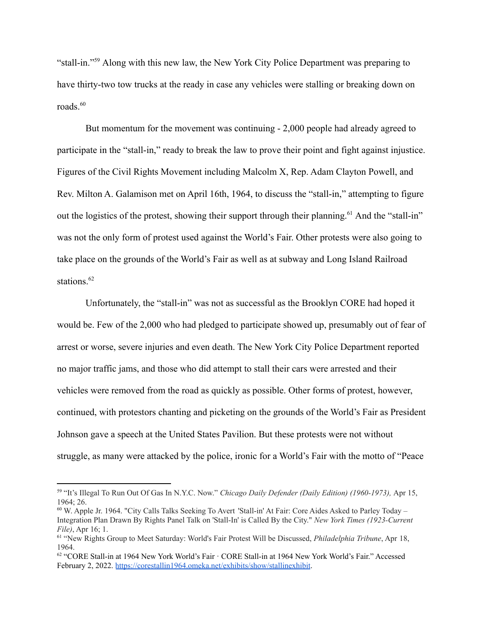"stall-in."<sup>59</sup> Along with this new law, the New York City Police Department was preparing to have thirty-two tow trucks at the ready in case any vehicles were stalling or breaking down on roads. $60$ 

But momentum for the movement was continuing - 2,000 people had already agreed to participate in the "stall-in," ready to break the law to prove their point and fight against injustice. Figures of the Civil Rights Movement including Malcolm X, Rep. Adam Clayton Powell, and Rev. Milton A. Galamison met on April 16th, 1964, to discuss the "stall-in," attempting to figure out the logistics of the protest, showing their support through their planning.<sup>61</sup> And the "stall-in" was not the only form of protest used against the World's Fair. Other protests were also going to take place on the grounds of the World's Fair as well as at subway and Long Island Railroad stations.<sup>62</sup>

Unfortunately, the "stall-in" was not as successful as the Brooklyn CORE had hoped it would be. Few of the 2,000 who had pledged to participate showed up, presumably out of fear of arrest or worse, severe injuries and even death. The New York City Police Department reported no major traffic jams, and those who did attempt to stall their cars were arrested and their vehicles were removed from the road as quickly as possible. Other forms of protest, however, continued, with protestors chanting and picketing on the grounds of the World's Fair as President Johnson gave a speech at the United States Pavilion. But these protests were not without struggle, as many were attacked by the police, ironic for a World's Fair with the motto of "Peace

<sup>59</sup> "It's Illegal To Run Out Of Gas In N.Y.C. Now." *Chicago Daily Defender (Daily Edition) (1960-1973),* Apr 15, 1964; 26.

<sup>60</sup> W. Apple Jr. 1964. "City Calls Talks Seeking To Avert 'Stall-in' At Fair: Core Aides Asked to Parley Today – Integration Plan Drawn By Rights Panel Talk on 'Stall-In' is Called By the City." *New York Times (1923-Current File)*, Apr 16; 1.

<sup>61</sup> "New Rights Group to Meet Saturday: World's Fair Protest Will be Discussed, *Philadelphia Tribune*, Apr 18, 1964.

<sup>62</sup> "CORE Stall-in at 1964 New York World's Fair · CORE Stall-in at 1964 New York World's Fair." Accessed February 2, 2022. <https://corestallin1964.omeka.net/exhibits/show/stallinexhibit>.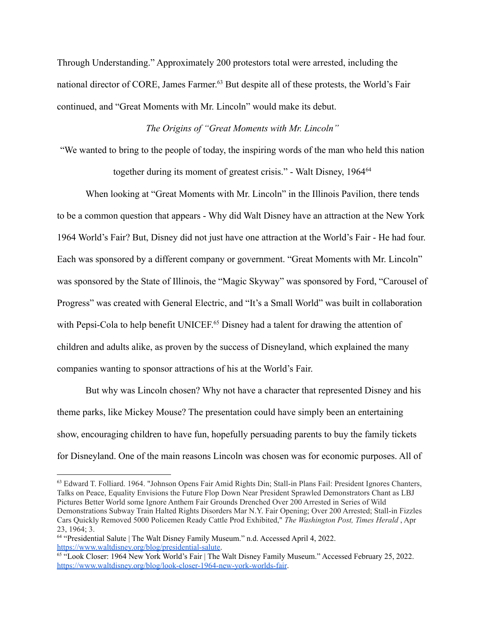Through Understanding." Approximately 200 protestors total were arrested, including the national director of CORE, James Farmer. <sup>63</sup> But despite all of these protests, the World's Fair continued, and "Great Moments with Mr. Lincoln" would make its debut.

# *The Origins of "Great Moments with Mr. Lincoln"*

"We wanted to bring to the people of today, the inspiring words of the man who held this nation together during its moment of greatest crisis." - Walt Disney, 1964<sup>64</sup>

When looking at "Great Moments with Mr. Lincoln" in the Illinois Pavilion, there tends to be a common question that appears - Why did Walt Disney have an attraction at the New York 1964 World's Fair? But, Disney did not just have one attraction at the World's Fair - He had four. Each was sponsored by a different company or government. "Great Moments with Mr. Lincoln" was sponsored by the State of Illinois, the "Magic Skyway" was sponsored by Ford, "Carousel of Progress" was created with General Electric, and "It's a Small World" was built in collaboration with Pepsi-Cola to help benefit UNICEF.<sup>65</sup> Disney had a talent for drawing the attention of children and adults alike, as proven by the success of Disneyland, which explained the many companies wanting to sponsor attractions of his at the World's Fair.

But why was Lincoln chosen? Why not have a character that represented Disney and his theme parks, like Mickey Mouse? The presentation could have simply been an entertaining show, encouraging children to have fun, hopefully persuading parents to buy the family tickets for Disneyland. One of the main reasons Lincoln was chosen was for economic purposes. All of

<sup>63</sup> Edward T. Folliard. 1964. "Johnson Opens Fair Amid Rights Din; Stall-in Plans Fail: President Ignores Chanters, Talks on Peace, Equality Envisions the Future Flop Down Near President Sprawled Demonstrators Chant as LBJ Pictures Better World some Ignore Anthem Fair Grounds Drenched Over 200 Arrested in Series of Wild Demonstrations Subway Train Halted Rights Disorders Mar N.Y. Fair Opening; Over 200 Arrested; Stall-in Fizzles Cars Quickly Removed 5000 Policemen Ready Cattle Prod Exhibited," *The Washington Post, Times Herald* , Apr 23, 1964; 3.

<sup>64</sup> "Presidential Salute | The Walt Disney Family Museum." n.d. Accessed April 4, 2022. <https://www.waltdisney.org/blog/presidential-salute>.

<sup>&</sup>lt;sup>65 "L</sup>ook Closer: 1964 New York World's Fair | The Walt Disney Family Museum." Accessed February 25, 2022. <https://www.waltdisney.org/blog/look-closer-1964-new-york-worlds-fair>.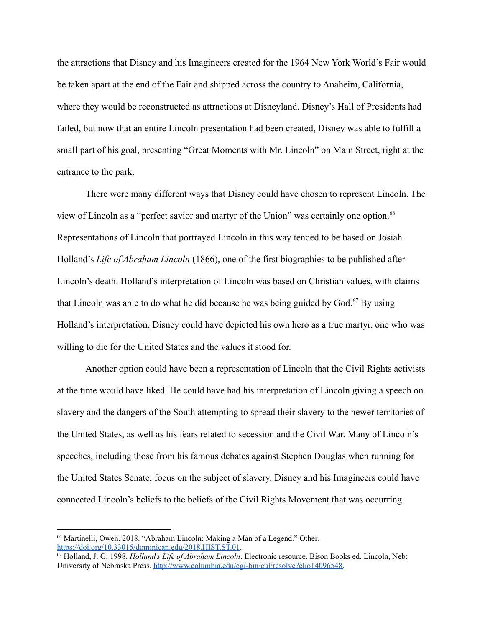the attractions that Disney and his Imagineers created for the 1964 New York World's Fair would be taken apart at the end of the Fair and shipped across the country to Anaheim, California, where they would be reconstructed as attractions at Disneyland. Disney's Hall of Presidents had failed, but now that an entire Lincoln presentation had been created, Disney was able to fulfill a small part of his goal, presenting "Great Moments with Mr. Lincoln" on Main Street, right at the entrance to the park.

There were many different ways that Disney could have chosen to represent Lincoln. The view of Lincoln as a "perfect savior and martyr of the Union" was certainly one option.<sup>66</sup> Representations of Lincoln that portrayed Lincoln in this way tended to be based on Josiah Holland's *Life of Abraham Lincoln* (1866), one of the first biographies to be published after Lincoln's death. Holland's interpretation of Lincoln was based on Christian values, with claims that Lincoln was able to do what he did because he was being guided by  $God.<sup>67</sup>$  By using Holland's interpretation, Disney could have depicted his own hero as a true martyr, one who was willing to die for the United States and the values it stood for.

Another option could have been a representation of Lincoln that the Civil Rights activists at the time would have liked. He could have had his interpretation of Lincoln giving a speech on slavery and the dangers of the South attempting to spread their slavery to the newer territories of the United States, as well as his fears related to secession and the Civil War. Many of Lincoln's speeches, including those from his famous debates against Stephen Douglas when running for the United States Senate, focus on the subject of slavery. Disney and his Imagineers could have connected Lincoln's beliefs to the beliefs of the Civil Rights Movement that was occurring

<sup>66</sup> Martinelli, Owen. 2018. "Abraham Lincoln: Making a Man of a Legend." Other[.](https://doi.org/10.33015/dominican.edu/2018.HIST.ST.01) <https://doi.org/10.33015/dominican.edu/2018.HIST.ST.01>.

<sup>67</sup> Holland, J. G. 1998. *Holland's Life of Abraham Lincoln*. Electronic resource. Bison Books ed. Lincoln, Neb: University of Nebraska Press. [http://www.columbia.edu/cgi-bin/cul/resolve?clio14096548.](http://www.columbia.edu/cgi-bin/cul/resolve?clio14096548)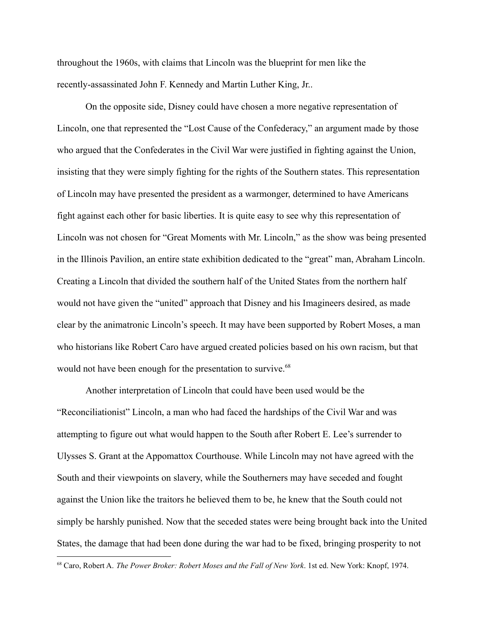throughout the 1960s, with claims that Lincoln was the blueprint for men like the recently-assassinated John F. Kennedy and Martin Luther King, Jr..

On the opposite side, Disney could have chosen a more negative representation of Lincoln, one that represented the "Lost Cause of the Confederacy," an argument made by those who argued that the Confederates in the Civil War were justified in fighting against the Union, insisting that they were simply fighting for the rights of the Southern states. This representation of Lincoln may have presented the president as a warmonger, determined to have Americans fight against each other for basic liberties. It is quite easy to see why this representation of Lincoln was not chosen for "Great Moments with Mr. Lincoln," as the show was being presented in the Illinois Pavilion, an entire state exhibition dedicated to the "great" man, Abraham Lincoln. Creating a Lincoln that divided the southern half of the United States from the northern half would not have given the "united" approach that Disney and his Imagineers desired, as made clear by the animatronic Lincoln's speech. It may have been supported by Robert Moses, a man who historians like Robert Caro have argued created policies based on his own racism, but that would not have been enough for the presentation to survive.<sup>68</sup>

Another interpretation of Lincoln that could have been used would be the "Reconciliationist" Lincoln, a man who had faced the hardships of the Civil War and was attempting to figure out what would happen to the South after Robert E. Lee's surrender to Ulysses S. Grant at the Appomattox Courthouse. While Lincoln may not have agreed with the South and their viewpoints on slavery, while the Southerners may have seceded and fought against the Union like the traitors he believed them to be, he knew that the South could not simply be harshly punished. Now that the seceded states were being brought back into the United States, the damage that had been done during the war had to be fixed, bringing prosperity to not

<sup>68</sup> Caro, Robert A. *The Power Broker: Robert Moses and the Fall of New York*. 1st ed. New York: Knopf, 1974.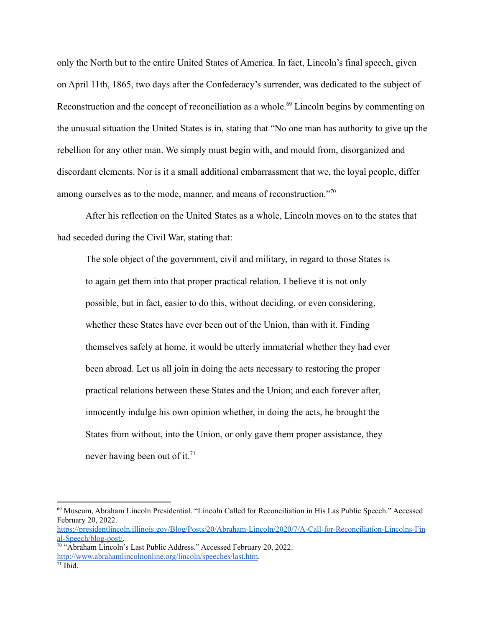only the North but to the entire United States of America. In fact, Lincoln's final speech, given on April 11th, 1865, two days after the Confederacy's surrender, was dedicated to the subject of Reconstruction and the concept of reconciliation as a whole.<sup>69</sup> Lincoln begins by commenting on the unusual situation the United States is in, stating that "No one man has authority to give up the rebellion for any other man. We simply must begin with, and mould from, disorganized and discordant elements. Nor is it a small additional embarrassment that we, the loyal people, differ among ourselves as to the mode, manner, and means of reconstruction."<sup>70</sup>

After his reflection on the United States as a whole, Lincoln moves on to the states that had seceded during the Civil War, stating that:

The sole object of the government, civil and military, in regard to those States is to again get them into that proper practical relation. I believe it is not only possible, but in fact, easier to do this, without deciding, or even considering, whether these States have ever been out of the Union, than with it. Finding themselves safely at home, it would be utterly immaterial whether they had ever been abroad. Let us all join in doing the acts necessary to restoring the proper practical relations between these States and the Union; and each forever after, innocently indulge his own opinion whether, in doing the acts, he brought the States from without, into the Union, or only gave them proper assistance, they never having been out of it.<sup>71</sup>

<sup>69</sup> Museum, Abraham Lincoln Presidential. "Lincoln Called for Reconciliation in His Las Public Speech." Accessed February 20, 2022[.](https://presidentlincoln.illinois.gov/Blog/Posts/20/Abraham-Lincoln/2020/7/A-Call-for-Reconciliation-Lincolns-Final-Speech/blog-post/)

[https://presidentlincoln.illinois.gov/Blog/Posts/20/Abraham-Lincoln/2020/7/A-Call-for-Reconciliation-Lincolns-Fin](https://presidentlincoln.illinois.gov/Blog/Posts/20/Abraham-Lincoln/2020/7/A-Call-for-Reconciliation-Lincolns-Final-Speech/blog-post/) [al-Speech/blog-post/.](https://presidentlincoln.illinois.gov/Blog/Posts/20/Abraham-Lincoln/2020/7/A-Call-for-Reconciliation-Lincolns-Final-Speech/blog-post/)

<sup>&</sup>lt;sup>70</sup> "Abraham Lincoln's Last Public Address." Accessed February 20, 2022. [http://www.abrahamlincolnonline.org/lincoln/speeches/last.htm.](http://www.abrahamlincolnonline.org/lincoln/speeches/last.htm)

 $71$  Ibid.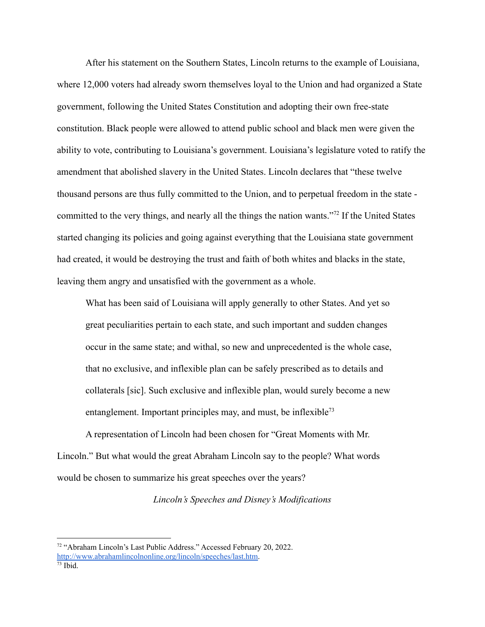After his statement on the Southern States, Lincoln returns to the example of Louisiana, where 12,000 voters had already sworn themselves loyal to the Union and had organized a State government, following the United States Constitution and adopting their own free-state constitution. Black people were allowed to attend public school and black men were given the ability to vote, contributing to Louisiana's government. Louisiana's legislature voted to ratify the amendment that abolished slavery in the United States. Lincoln declares that "these twelve thousand persons are thus fully committed to the Union, and to perpetual freedom in the state committed to the very things, and nearly all the things the nation wants."<sup>72</sup> If the United States started changing its policies and going against everything that the Louisiana state government had created, it would be destroying the trust and faith of both whites and blacks in the state, leaving them angry and unsatisfied with the government as a whole.

What has been said of Louisiana will apply generally to other States. And yet so great peculiarities pertain to each state, and such important and sudden changes occur in the same state; and withal, so new and unprecedented is the whole case, that no exclusive, and inflexible plan can be safely prescribed as to details and collaterals [sic]. Such exclusive and inflexible plan, would surely become a new entanglement. Important principles may, and must, be inflexible<sup>73</sup>

A representation of Lincoln had been chosen for "Great Moments with Mr. Lincoln." But what would the great Abraham Lincoln say to the people? What words would be chosen to summarize his great speeches over the years?

*Lincoln's Speeches and Disney's Modifications*

<sup>72</sup> "Abraham Lincoln's Last Public Address." Accessed February 20, 2022. [http://www.abrahamlincolnonline.org/lincoln/speeches/last.htm.](http://www.abrahamlincolnonline.org/lincoln/speeches/last.htm)

 $73$  Ibid.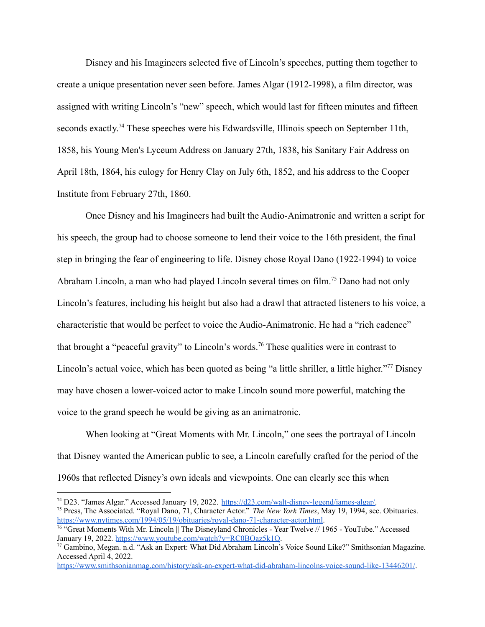Disney and his Imagineers selected five of Lincoln's speeches, putting them together to create a unique presentation never seen before. James Algar (1912-1998), a film director, was assigned with writing Lincoln's "new" speech, which would last for fifteen minutes and fifteen seconds exactly.<sup>74</sup> These speeches were his Edwardsville, Illinois speech on September 11th, 1858, his Young Men's Lyceum Address on January 27th, 1838, his Sanitary Fair Address on April 18th, 1864, his eulogy for Henry Clay on July 6th, 1852, and his address to the Cooper Institute from February 27th, 1860.

Once Disney and his Imagineers had built the Audio-Animatronic and written a script for his speech, the group had to choose someone to lend their voice to the 16th president, the final step in bringing the fear of engineering to life. Disney chose Royal Dano (1922-1994) to voice Abraham Lincoln, a man who had played Lincoln several times on film.<sup>75</sup> Dano had not only Lincoln's features, including his height but also had a drawl that attracted listeners to his voice, a characteristic that would be perfect to voice the Audio-Animatronic. He had a "rich cadence" that brought a "peaceful gravity" to Lincoln's words.<sup>76</sup> These qualities were in contrast to Lincoln's actual voice, which has been quoted as being "a little shriller, a little higher."<sup>77</sup> Disney may have chosen a lower-voiced actor to make Lincoln sound more powerful, matching the voice to the grand speech he would be giving as an animatronic.

When looking at "Great Moments with Mr. Lincoln," one sees the portrayal of Lincoln that Disney wanted the American public to see, a Lincoln carefully crafted for the period of the 1960s that reflected Disney's own ideals and viewpoints. One can clearly see this when

<sup>75</sup> Press, The Associated. "Royal Dano, 71, Character Actor." *The New York Times*, May 19, 1994, sec. Obituaries[.](https://www.nytimes.com/1994/05/19/obituaries/royal-dano-71-character-actor.html) [https://www.nytimes.com/1994/05/19/obituaries/royal-dano-71-character-actor.html.](https://www.nytimes.com/1994/05/19/obituaries/royal-dano-71-character-actor.html) <sup>74</sup> D23. "James Algar." Accessed January 19, 2022. [https://d23.com/walt-disney-legend/james-algar/.](https://d23.com/walt-disney-legend/james-algar/)

 $\frac{76}{10}$  "Great Moments With Mr. Lincoln || The Disneyland Chronicles - Year Twelve // 1965 - YouTube." Accessed January 19, 2022. [https://www.youtube.com/watch?v=RC0BOaz5k1Q.](https://www.youtube.com/watch?v=RC0BOaz5k1Q)

<sup>77</sup> Gambino, Megan. n.d. "Ask an Expert: What Did Abraham Lincoln's Voice Sound Like?" Smithsonian Magazine. Accessed April 4, 2022.

<https://www.smithsonianmag.com/history/ask-an-expert-what-did-abraham-lincolns-voice-sound-like-13446201/>.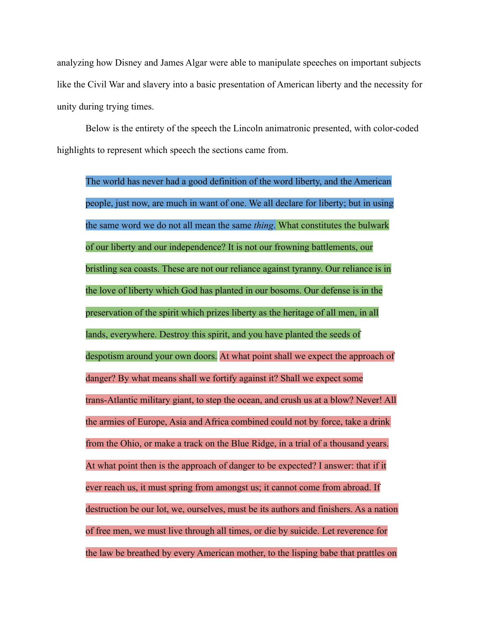analyzing how Disney and James Algar were able to manipulate speeches on important subjects like the Civil War and slavery into a basic presentation of American liberty and the necessity for unity during trying times.

Below is the entirety of the speech the Lincoln animatronic presented, with color-coded highlights to represent which speech the sections came from.

The world has never had a good definition of the word liberty, and the American people, just now, are much in want of one. We all declare for liberty; but in using the same word we do not all mean the same *thing*. What constitutes the bulwark of our liberty and our independence? It is not our frowning battlements, our bristling sea coasts. These are not our reliance against tyranny. Our reliance is in the love of liberty which God has planted in our bosoms. Our defense is in the preservation of the spirit which prizes liberty as the heritage of all men, in all lands, everywhere. Destroy this spirit, and you have planted the seeds of despotism around your own doors. At what point shall we expect the approach of danger? By what means shall we fortify against it? Shall we expect some trans-Atlantic military giant, to step the ocean, and crush us at a blow? Never! All the armies of Europe, Asia and Africa combined could not by force, take a drink from the Ohio, or make a track on the Blue Ridge, in a trial of a thousand years. At what point then is the approach of danger to be expected? I answer: that if it ever reach us, it must spring from amongst us; it cannot come from abroad. If destruction be our lot, we, ourselves, must be its authors and finishers. As a nation of free men, we must live through all times, or die by suicide. Let reverence for the law be breathed by every American mother, to the lisping babe that prattles on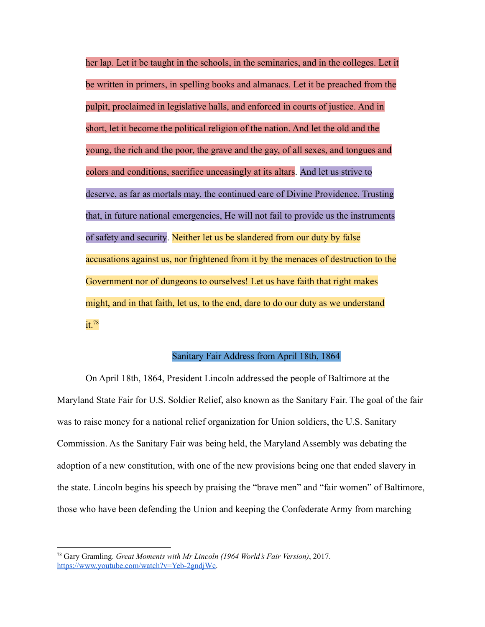her lap. Let it be taught in the schools, in the seminaries, and in the colleges. Let it be written in primers, in spelling books and almanacs. Let it be preached from the pulpit, proclaimed in legislative halls, and enforced in courts of justice. And in short, let it become the political religion of the nation. And let the old and the young, the rich and the poor, the grave and the gay, of all sexes, and tongues and colors and conditions, sacrifice unceasingly at its altars. And let us strive to deserve, as far as mortals may, the continued care of Divine Providence. Trusting that, in future national emergencies, He will not fail to provide us the instruments of safety and security. Neither let us be slandered from our duty by false accusations against us, nor frightened from it by the menaces of destruction to the Government nor of dungeons to ourselves! Let us have faith that right makes might, and in that faith, let us, to the end, dare to do our duty as we understand it.<sup>78</sup>

#### Sanitary Fair Address from April 18th, 1864

On April 18th, 1864, President Lincoln addressed the people of Baltimore at the Maryland State Fair for U.S. Soldier Relief, also known as the Sanitary Fair. The goal of the fair was to raise money for a national relief organization for Union soldiers, the U.S. Sanitary Commission. As the Sanitary Fair was being held, the Maryland Assembly was debating the adoption of a new constitution, with one of the new provisions being one that ended slavery in the state. Lincoln begins his speech by praising the "brave men" and "fair women" of Baltimore, those who have been defending the Union and keeping the Confederate Army from marching

<sup>78</sup> Gary Gramling. *Great Moments with Mr Lincoln (1964 World's Fair Version)*, 2017. [https://www.youtube.com/watch?v=Yeb-2gndjWc.](https://www.youtube.com/watch?v=Yeb-2gndjWc)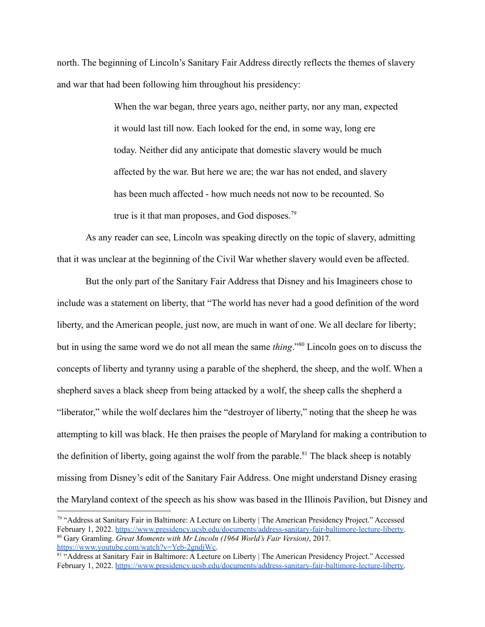north. The beginning of Lincoln's Sanitary Fair Address directly reflects the themes of slavery and war that had been following him throughout his presidency:

> When the war began, three years ago, neither party, nor any man, expected it would last till now. Each looked for the end, in some way, long ere today. Neither did any anticipate that domestic slavery would be much affected by the war. But here we are; the war has not ended, and slavery has been much affected - how much needs not now to be recounted. So true is it that man proposes, and God disposes.<sup>79</sup>

As any reader can see, Lincoln was speaking directly on the topic of slavery, admitting that it was unclear at the beginning of the Civil War whether slavery would even be affected.

But the only part of the Sanitary Fair Address that Disney and his Imagineers chose to include was a statement on liberty, that "The world has never had a good definition of the word liberty, and the American people, just now, are much in want of one. We all declare for liberty; but in using the same word we do not all mean the same *thing*."<sup>80</sup> Lincoln goes on to discuss the concepts of liberty and tyranny using a parable of the shepherd, the sheep, and the wolf. When a shepherd saves a black sheep from being attacked by a wolf, the sheep calls the shepherd a "liberator," while the wolf declares him the "destroyer of liberty," noting that the sheep he was attempting to kill was black. He then praises the people of Maryland for making a contribution to the definition of liberty, going against the wolf from the parable.<sup>81</sup> The black sheep is notably missing from Disney's edit of the Sanitary Fair Address. One might understand Disney erasing the Maryland context of the speech as his show was based in the Illinois Pavilion, but Disney and

<sup>80</sup> Gary Gramling. *Great Moments with Mr Lincoln (1964 World's Fair Version)*, 2017. [https://www.youtube.com/watch?v=Yeb-2gndjWc.](https://www.youtube.com/watch?v=Yeb-2gndjWc) <sup>79</sup> "Address at Sanitary Fair in Baltimore: A Lecture on Liberty | The American Presidency Project." Accessed February 1, 2022. [https://www.presidency.ucsb.edu/documents/address-sanitary-fair-baltimore-lecture-liberty.](https://www.presidency.ucsb.edu/documents/address-sanitary-fair-baltimore-lecture-liberty)

<sup>81 &</sup>quot;Address at Sanitary Fair in Baltimore: A Lecture on Liberty | The American Presidency Project." Accessed February 1, 2022. [https://www.presidency.ucsb.edu/documents/address-sanitary-fair-baltimore-lecture-liberty.](https://www.presidency.ucsb.edu/documents/address-sanitary-fair-baltimore-lecture-liberty)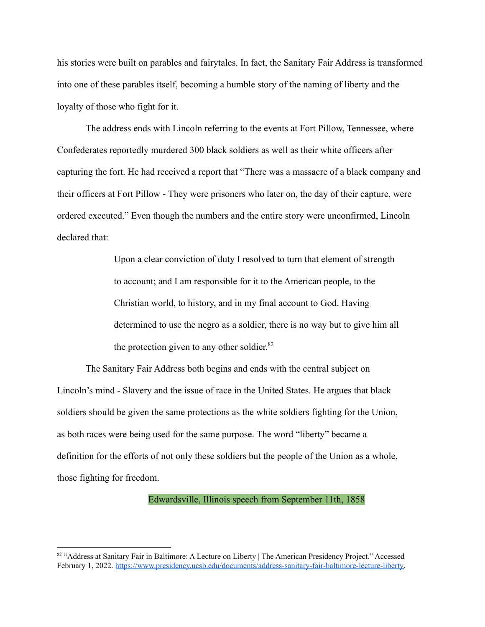his stories were built on parables and fairytales. In fact, the Sanitary Fair Address is transformed into one of these parables itself, becoming a humble story of the naming of liberty and the loyalty of those who fight for it.

The address ends with Lincoln referring to the events at Fort Pillow, Tennessee, where Confederates reportedly murdered 300 black soldiers as well as their white officers after capturing the fort. He had received a report that "There was a massacre of a black company and their officers at Fort Pillow - They were prisoners who later on, the day of their capture, were ordered executed." Even though the numbers and the entire story were unconfirmed, Lincoln declared that:

> Upon a clear conviction of duty I resolved to turn that element of strength to account; and I am responsible for it to the American people, to the Christian world, to history, and in my final account to God. Having determined to use the negro as a soldier, there is no way but to give him all the protection given to any other soldier.<sup>82</sup>

The Sanitary Fair Address both begins and ends with the central subject on Lincoln's mind - Slavery and the issue of race in the United States. He argues that black soldiers should be given the same protections as the white soldiers fighting for the Union, as both races were being used for the same purpose. The word "liberty" became a definition for the efforts of not only these soldiers but the people of the Union as a whole, those fighting for freedom.

Edwardsville, Illinois speech from September 11th, 1858

<sup>82 &</sup>quot;Address at Sanitary Fair in Baltimore: A Lecture on Liberty | The American Presidency Project." Accessed February 1, 2022. [https://www.presidency.ucsb.edu/documents/address-sanitary-fair-baltimore-lecture-liberty.](https://www.presidency.ucsb.edu/documents/address-sanitary-fair-baltimore-lecture-liberty)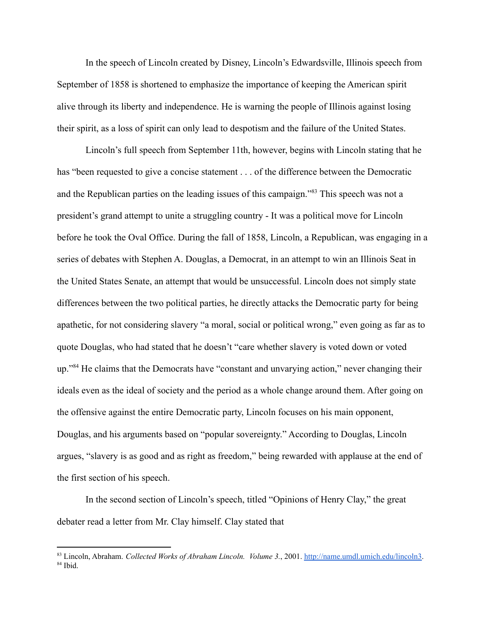In the speech of Lincoln created by Disney, Lincoln's Edwardsville, Illinois speech from September of 1858 is shortened to emphasize the importance of keeping the American spirit alive through its liberty and independence. He is warning the people of Illinois against losing their spirit, as a loss of spirit can only lead to despotism and the failure of the United States.

Lincoln's full speech from September 11th, however, begins with Lincoln stating that he has "been requested to give a concise statement . . . of the difference between the Democratic and the Republican parties on the leading issues of this campaign."<sup>83</sup> This speech was not a president's grand attempt to unite a struggling country - It was a political move for Lincoln before he took the Oval Office. During the fall of 1858, Lincoln, a Republican, was engaging in a series of debates with Stephen A. Douglas, a Democrat, in an attempt to win an Illinois Seat in the United States Senate, an attempt that would be unsuccessful. Lincoln does not simply state differences between the two political parties, he directly attacks the Democratic party for being apathetic, for not considering slavery "a moral, social or political wrong," even going as far as to quote Douglas, who had stated that he doesn't "care whether slavery is voted down or voted up."<sup>84</sup> He claims that the Democrats have "constant and unvarying action," never changing their ideals even as the ideal of society and the period as a whole change around them. After going on the offensive against the entire Democratic party, Lincoln focuses on his main opponent, Douglas, and his arguments based on "popular sovereignty." According to Douglas, Lincoln argues, "slavery is as good and as right as freedom," being rewarded with applause at the end of the first section of his speech.

In the second section of Lincoln's speech, titled "Opinions of Henry Clay," the great debater read a letter from Mr. Clay himself. Clay stated that

<sup>84</sup> Ibid. <sup>83</sup> Lincoln, Abraham. *Collected Works of Abraham Lincoln. Volume 3.*, 2001. [http://name.umdl.umich.edu/lincoln3.](http://name.umdl.umich.edu/lincoln3)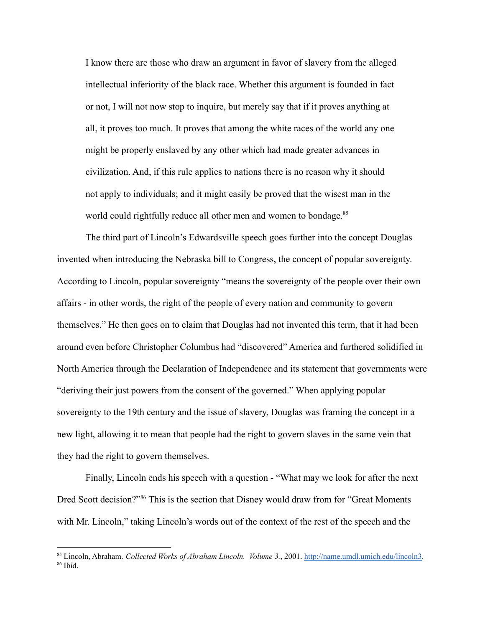I know there are those who draw an argument in favor of slavery from the alleged intellectual inferiority of the black race. Whether this argument is founded in fact or not, I will not now stop to inquire, but merely say that if it proves anything at all, it proves too much. It proves that among the white races of the world any one might be properly enslaved by any other which had made greater advances in civilization. And, if this rule applies to nations there is no reason why it should not apply to individuals; and it might easily be proved that the wisest man in the world could rightfully reduce all other men and women to bondage.<sup>85</sup>

The third part of Lincoln's Edwardsville speech goes further into the concept Douglas invented when introducing the Nebraska bill to Congress, the concept of popular sovereignty. According to Lincoln, popular sovereignty "means the sovereignty of the people over their own affairs - in other words, the right of the people of every nation and community to govern themselves." He then goes on to claim that Douglas had not invented this term, that it had been around even before Christopher Columbus had "discovered" America and furthered solidified in North America through the Declaration of Independence and its statement that governments were "deriving their just powers from the consent of the governed." When applying popular sovereignty to the 19th century and the issue of slavery, Douglas was framing the concept in a new light, allowing it to mean that people had the right to govern slaves in the same vein that they had the right to govern themselves.

Finally, Lincoln ends his speech with a question - "What may we look for after the next Dred Scott decision?"<sup>86</sup> This is the section that Disney would draw from for "Great Moments" with Mr. Lincoln," taking Lincoln's words out of the context of the rest of the speech and the

<sup>86</sup> Ibid. <sup>85</sup> Lincoln, Abraham. *Collected Works of Abraham Lincoln. Volume 3.*, 2001. [http://name.umdl.umich.edu/lincoln3.](http://name.umdl.umich.edu/lincoln3)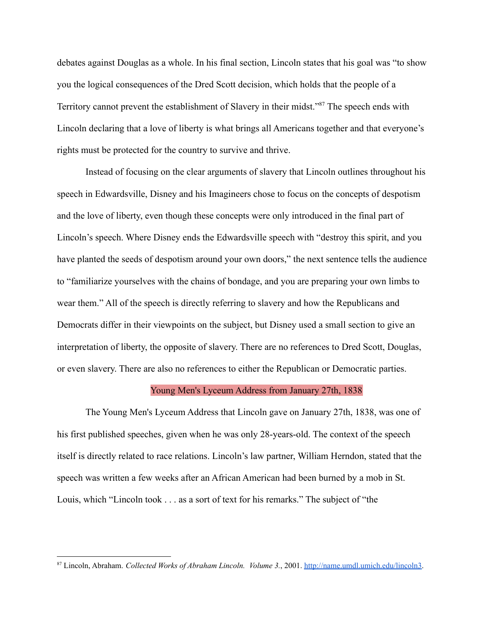debates against Douglas as a whole. In his final section, Lincoln states that his goal was "to show you the logical consequences of the Dred Scott decision, which holds that the people of a Territory cannot prevent the establishment of Slavery in their midst."<sup>87</sup> The speech ends with Lincoln declaring that a love of liberty is what brings all Americans together and that everyone's rights must be protected for the country to survive and thrive.

Instead of focusing on the clear arguments of slavery that Lincoln outlines throughout his speech in Edwardsville, Disney and his Imagineers chose to focus on the concepts of despotism and the love of liberty, even though these concepts were only introduced in the final part of Lincoln's speech. Where Disney ends the Edwardsville speech with "destroy this spirit, and you have planted the seeds of despotism around your own doors," the next sentence tells the audience to "familiarize yourselves with the chains of bondage, and you are preparing your own limbs to wear them." All of the speech is directly referring to slavery and how the Republicans and Democrats differ in their viewpoints on the subject, but Disney used a small section to give an interpretation of liberty, the opposite of slavery. There are no references to Dred Scott, Douglas, or even slavery. There are also no references to either the Republican or Democratic parties.

#### Young Men's Lyceum Address from January 27th, 1838

The Young Men's Lyceum Address that Lincoln gave on January 27th, 1838, was one of his first published speeches, given when he was only 28-years-old. The context of the speech itself is directly related to race relations. Lincoln's law partner, William Herndon, stated that the speech was written a few weeks after an African American had been burned by a mob in St. Louis, which "Lincoln took . . . as a sort of text for his remarks." The subject of "the

<sup>87</sup> Lincoln, Abraham. *Collected Works of Abraham Lincoln. Volume 3.*, 2001. [http://name.umdl.umich.edu/lincoln3.](http://name.umdl.umich.edu/lincoln3)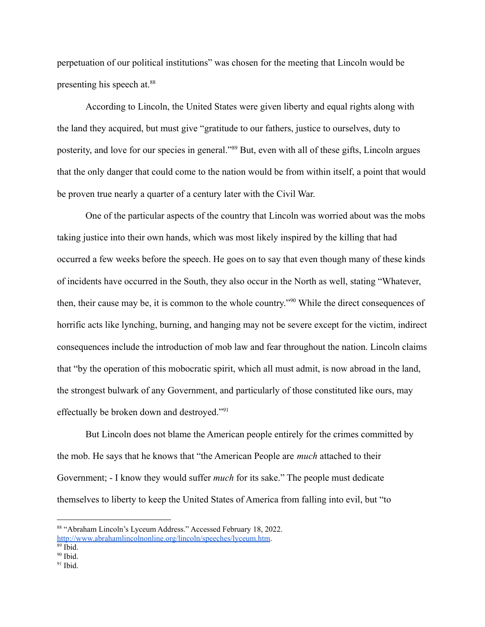perpetuation of our political institutions" was chosen for the meeting that Lincoln would be presenting his speech at.<sup>88</sup>

According to Lincoln, the United States were given liberty and equal rights along with the land they acquired, but must give "gratitude to our fathers, justice to ourselves, duty to posterity, and love for our species in general."<sup>89</sup> But, even with all of these gifts, Lincoln argues that the only danger that could come to the nation would be from within itself, a point that would be proven true nearly a quarter of a century later with the Civil War.

One of the particular aspects of the country that Lincoln was worried about was the mobs taking justice into their own hands, which was most likely inspired by the killing that had occurred a few weeks before the speech. He goes on to say that even though many of these kinds of incidents have occurred in the South, they also occur in the North as well, stating "Whatever, then, their cause may be, it is common to the whole country."<sup>90</sup> While the direct consequences of horrific acts like lynching, burning, and hanging may not be severe except for the victim, indirect consequences include the introduction of mob law and fear throughout the nation. Lincoln claims that "by the operation of this mobocratic spirit, which all must admit, is now abroad in the land, the strongest bulwark of any Government, and particularly of those constituted like ours, may effectually be broken down and destroyed."<sup>91</sup>

But Lincoln does not blame the American people entirely for the crimes committed by the mob. He says that he knows that "the American People are *much* attached to their Government; - I know they would suffer *much* for its sake." The people must dedicate themselves to liberty to keep the United States of America from falling into evil, but "to

<sup>88</sup> "Abraham Lincoln's Lyceum Address." Accessed February 18, 2022. <http://www.abrahamlincolnonline.org/lincoln/speeches/lyceum.htm>.

 $89$  Ibid.

 $90$  Ibid.

 $91$  Ibid.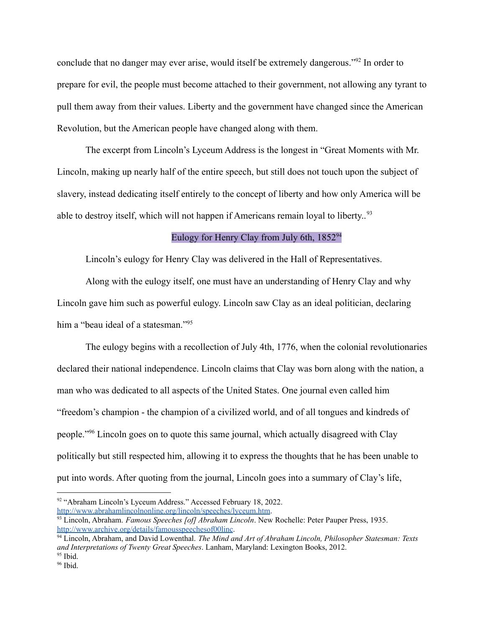conclude that no danger may ever arise, would itself be extremely dangerous."<sup>92</sup> In order to prepare for evil, the people must become attached to their government, not allowing any tyrant to pull them away from their values. Liberty and the government have changed since the American Revolution, but the American people have changed along with them.

The excerpt from Lincoln's Lyceum Address is the longest in "Great Moments with Mr. Lincoln, making up nearly half of the entire speech, but still does not touch upon the subject of slavery, instead dedicating itself entirely to the concept of liberty and how only America will be able to destroy itself, which will not happen if Americans remain loyal to liberty.<sup>93</sup>

# Eulogy for Henry Clay from July 6th,  $1852<sup>94</sup>$

Lincoln's eulogy for Henry Clay was delivered in the Hall of Representatives.

Along with the eulogy itself, one must have an understanding of Henry Clay and why Lincoln gave him such as powerful eulogy. Lincoln saw Clay as an ideal politician, declaring him a "beau ideal of a statesman."<sup>95</sup>

The eulogy begins with a recollection of July 4th, 1776, when the colonial revolutionaries declared their national independence. Lincoln claims that Clay was born along with the nation, a man who was dedicated to all aspects of the United States. One journal even called him "freedom's champion - the champion of a civilized world, and of all tongues and kindreds of people."<sup>96</sup> Lincoln goes on to quote this same journal, which actually disagreed with Clay politically but still respected him, allowing it to express the thoughts that he has been unable to put into words. After quoting from the journal, Lincoln goes into a summary of Clay's life,

<sup>&</sup>lt;sup>92</sup> "Abraham Lincoln's Lyceum Address." Accessed February 18, 2022. <http://www.abrahamlincolnonline.org/lincoln/speeches/lyceum.htm>.

<sup>93</sup> Lincoln, Abraham. *Famous Speeches [of] Abraham Lincoln*. New Rochelle: Peter Pauper Press, 1935. <http://www.archive.org/details/famousspeechesof00linc>.

 $95$  Ibid. <sup>94</sup> Lincoln, Abraham, and David Lowenthal. *The Mind and Art of Abraham Lincoln, Philosopher Statesman: Texts and Interpretations of Twenty Great Speeches*. Lanham, Maryland: Lexington Books, 2012.

 $96$  Ibid.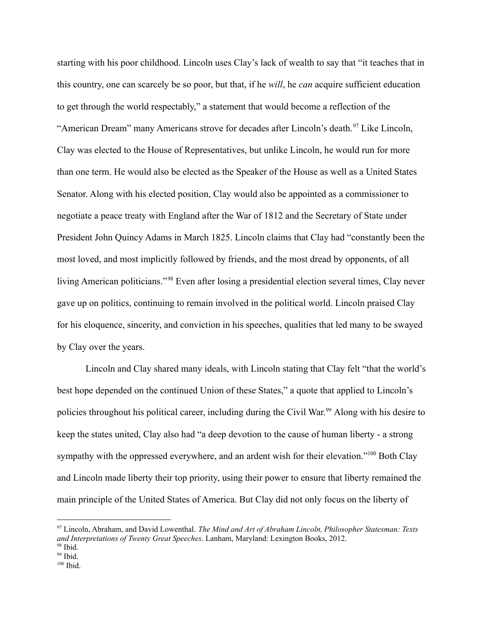starting with his poor childhood. Lincoln uses Clay's lack of wealth to say that "it teaches that in this country, one can scarcely be so poor, but that, if he *will*, he *can* acquire sufficient education to get through the world respectably," a statement that would become a reflection of the "American Dream" many Americans strove for decades after Lincoln's death.<sup>97</sup> Like Lincoln, Clay was elected to the House of Representatives, but unlike Lincoln, he would run for more than one term. He would also be elected as the Speaker of the House as well as a United States Senator. Along with his elected position, Clay would also be appointed as a commissioner to negotiate a peace treaty with England after the War of 1812 and the Secretary of State under President John Quincy Adams in March 1825. Lincoln claims that Clay had "constantly been the most loved, and most implicitly followed by friends, and the most dread by opponents, of all living American politicians."<sup>98</sup> Even after losing a presidential election several times, Clay never gave up on politics, continuing to remain involved in the political world. Lincoln praised Clay for his eloquence, sincerity, and conviction in his speeches, qualities that led many to be swayed by Clay over the years.

Lincoln and Clay shared many ideals, with Lincoln stating that Clay felt "that the world's best hope depended on the continued Union of these States," a quote that applied to Lincoln's policies throughout his political career, including during the Civil War.<sup>99</sup> Along with his desire to keep the states united, Clay also had "a deep devotion to the cause of human liberty - a strong sympathy with the oppressed everywhere, and an ardent wish for their elevation."<sup>100</sup> Both Clay and Lincoln made liberty their top priority, using their power to ensure that liberty remained the main principle of the United States of America. But Clay did not only focus on the liberty of

<sup>98</sup> Ibid. <sup>97</sup> Lincoln, Abraham, and David Lowenthal. *The Mind and Art of Abraham Lincoln, Philosopher Statesman: Texts and Interpretations of Twenty Great Speeches*. Lanham, Maryland: Lexington Books, 2012.

 $99$  Ibid.

<sup>100</sup> Ibid.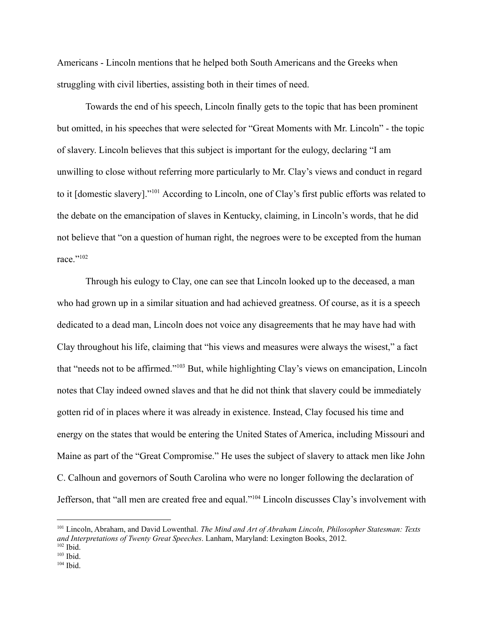Americans - Lincoln mentions that he helped both South Americans and the Greeks when struggling with civil liberties, assisting both in their times of need.

Towards the end of his speech, Lincoln finally gets to the topic that has been prominent but omitted, in his speeches that were selected for "Great Moments with Mr. Lincoln" - the topic of slavery. Lincoln believes that this subject is important for the eulogy, declaring "I am unwilling to close without referring more particularly to Mr. Clay's views and conduct in regard to it [domestic slavery]."<sup>101</sup> According to Lincoln, one of Clay's first public efforts was related to the debate on the emancipation of slaves in Kentucky, claiming, in Lincoln's words, that he did not believe that "on a question of human right, the negroes were to be excepted from the human race "102

Through his eulogy to Clay, one can see that Lincoln looked up to the deceased, a man who had grown up in a similar situation and had achieved greatness. Of course, as it is a speech dedicated to a dead man, Lincoln does not voice any disagreements that he may have had with Clay throughout his life, claiming that "his views and measures were always the wisest," a fact that "needs not to be affirmed."<sup>103</sup> But, while highlighting Clay's views on emancipation, Lincoln notes that Clay indeed owned slaves and that he did not think that slavery could be immediately gotten rid of in places where it was already in existence. Instead, Clay focused his time and energy on the states that would be entering the United States of America, including Missouri and Maine as part of the "Great Compromise." He uses the subject of slavery to attack men like John C. Calhoun and governors of South Carolina who were no longer following the declaration of Jefferson, that "all men are created free and equal."<sup>104</sup> Lincoln discusses Clay's involvement with

<sup>102</sup> Ibid. <sup>101</sup> Lincoln, Abraham, and David Lowenthal. *The Mind and Art of Abraham Lincoln, Philosopher Statesman: Texts and Interpretations of Twenty Great Speeches*. Lanham, Maryland: Lexington Books, 2012.

 $103$  Ibid.

 $104$  Ibid.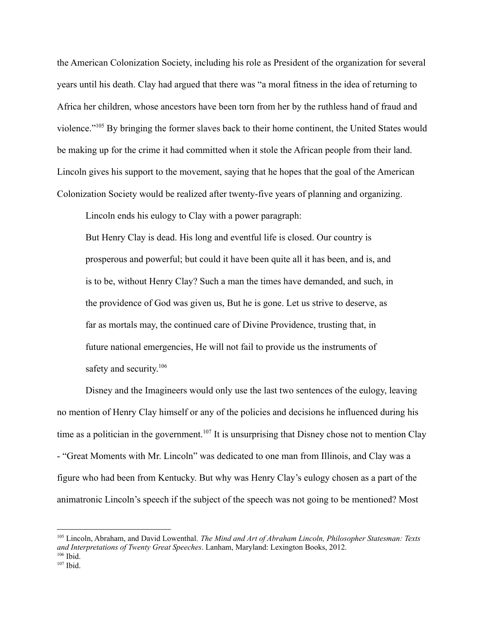the American Colonization Society, including his role as President of the organization for several years until his death. Clay had argued that there was "a moral fitness in the idea of returning to Africa her children, whose ancestors have been torn from her by the ruthless hand of fraud and violence."<sup>105</sup> By bringing the former slaves back to their home continent, the United States would be making up for the crime it had committed when it stole the African people from their land. Lincoln gives his support to the movement, saying that he hopes that the goal of the American Colonization Society would be realized after twenty-five years of planning and organizing.

Lincoln ends his eulogy to Clay with a power paragraph:

But Henry Clay is dead. His long and eventful life is closed. Our country is prosperous and powerful; but could it have been quite all it has been, and is, and is to be, without Henry Clay? Such a man the times have demanded, and such, in the providence of God was given us, But he is gone. Let us strive to deserve, as far as mortals may, the continued care of Divine Providence, trusting that, in future national emergencies, He will not fail to provide us the instruments of safety and security.<sup>106</sup>

Disney and the Imagineers would only use the last two sentences of the eulogy, leaving no mention of Henry Clay himself or any of the policies and decisions he influenced during his time as a politician in the government.<sup>107</sup> It is unsurprising that Disney chose not to mention Clay - "Great Moments with Mr. Lincoln" was dedicated to one man from Illinois, and Clay was a figure who had been from Kentucky. But why was Henry Clay's eulogy chosen as a part of the animatronic Lincoln's speech if the subject of the speech was not going to be mentioned? Most

 $106$  Ibid. <sup>105</sup> Lincoln, Abraham, and David Lowenthal. *The Mind and Art of Abraham Lincoln, Philosopher Statesman: Texts and Interpretations of Twenty Great Speeches*. Lanham, Maryland: Lexington Books, 2012.

 $107$  Ibid.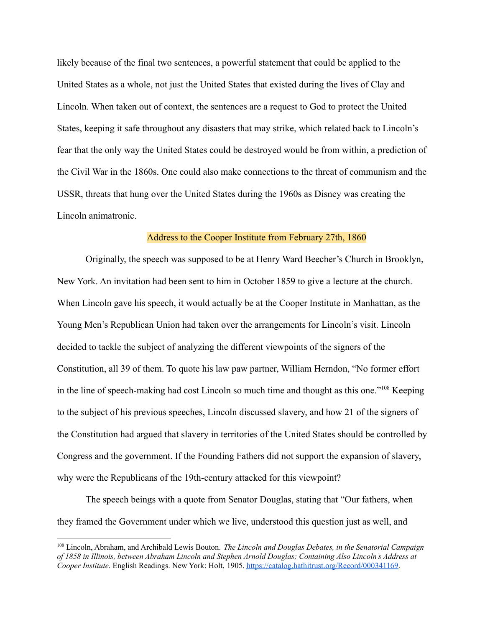likely because of the final two sentences, a powerful statement that could be applied to the United States as a whole, not just the United States that existed during the lives of Clay and Lincoln. When taken out of context, the sentences are a request to God to protect the United States, keeping it safe throughout any disasters that may strike, which related back to Lincoln's fear that the only way the United States could be destroyed would be from within, a prediction of the Civil War in the 1860s. One could also make connections to the threat of communism and the USSR, threats that hung over the United States during the 1960s as Disney was creating the Lincoln animatronic.

#### Address to the Cooper Institute from February 27th, 1860

Originally, the speech was supposed to be at Henry Ward Beecher's Church in Brooklyn, New York. An invitation had been sent to him in October 1859 to give a lecture at the church. When Lincoln gave his speech, it would actually be at the Cooper Institute in Manhattan, as the Young Men's Republican Union had taken over the arrangements for Lincoln's visit. Lincoln decided to tackle the subject of analyzing the different viewpoints of the signers of the Constitution, all 39 of them. To quote his law paw partner, William Herndon, "No former effort in the line of speech-making had cost Lincoln so much time and thought as this one."<sup>108</sup> Keeping to the subject of his previous speeches, Lincoln discussed slavery, and how 21 of the signers of the Constitution had argued that slavery in territories of the United States should be controlled by Congress and the government. If the Founding Fathers did not support the expansion of slavery, why were the Republicans of the 19th-century attacked for this viewpoint?

The speech beings with a quote from Senator Douglas, stating that "Our fathers, when they framed the Government under which we live, understood this question just as well, and

<sup>108</sup> Lincoln, Abraham, and Archibald Lewis Bouton. *The Lincoln and Douglas Debates, in the Senatorial Campaign of 1858 in Illinois, between Abraham Lincoln and Stephen Arnold Douglas; Containing Also Lincoln's Address at Cooper Institute*. English Readings. New York: Holt, 1905. <https://catalog.hathitrust.org/Record/000341169>.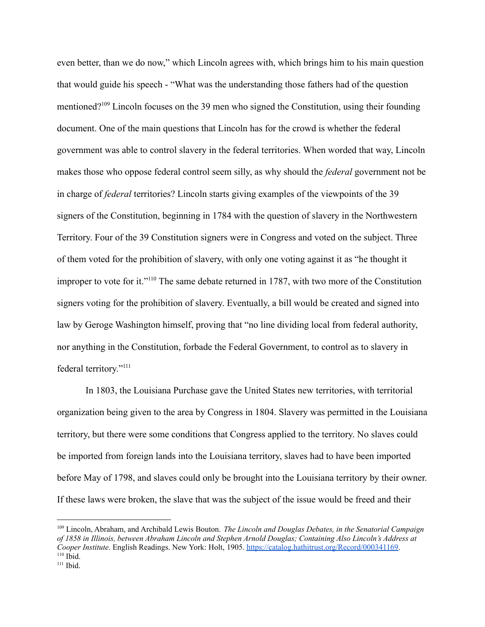even better, than we do now," which Lincoln agrees with, which brings him to his main question that would guide his speech - "What was the understanding those fathers had of the question mentioned?<sup>109</sup> Lincoln focuses on the 39 men who signed the Constitution, using their founding document. One of the main questions that Lincoln has for the crowd is whether the federal government was able to control slavery in the federal territories. When worded that way, Lincoln makes those who oppose federal control seem silly, as why should the *federal* government not be in charge of *federal* territories? Lincoln starts giving examples of the viewpoints of the 39 signers of the Constitution, beginning in 1784 with the question of slavery in the Northwestern Territory. Four of the 39 Constitution signers were in Congress and voted on the subject. Three of them voted for the prohibition of slavery, with only one voting against it as "he thought it improper to vote for it."<sup>110</sup> The same debate returned in 1787, with two more of the Constitution signers voting for the prohibition of slavery. Eventually, a bill would be created and signed into law by Geroge Washington himself, proving that "no line dividing local from federal authority, nor anything in the Constitution, forbade the Federal Government, to control as to slavery in federal territory."<sup>111</sup>

In 1803, the Louisiana Purchase gave the United States new territories, with territorial organization being given to the area by Congress in 1804. Slavery was permitted in the Louisiana territory, but there were some conditions that Congress applied to the territory. No slaves could be imported from foreign lands into the Louisiana territory, slaves had to have been imported before May of 1798, and slaves could only be brought into the Louisiana territory by their owner. If these laws were broken, the slave that was the subject of the issue would be freed and their

 $110$  Ibid. <sup>109</sup> Lincoln, Abraham, and Archibald Lewis Bouton. *The Lincoln and Douglas Debates, in the Senatorial Campaign of 1858 in Illinois, between Abraham Lincoln and Stephen Arnold Douglas; Containing Also Lincoln's Address at Cooper Institute*. English Readings. New York: Holt, 1905. <https://catalog.hathitrust.org/Record/000341169>.

<sup>111</sup> Ibid.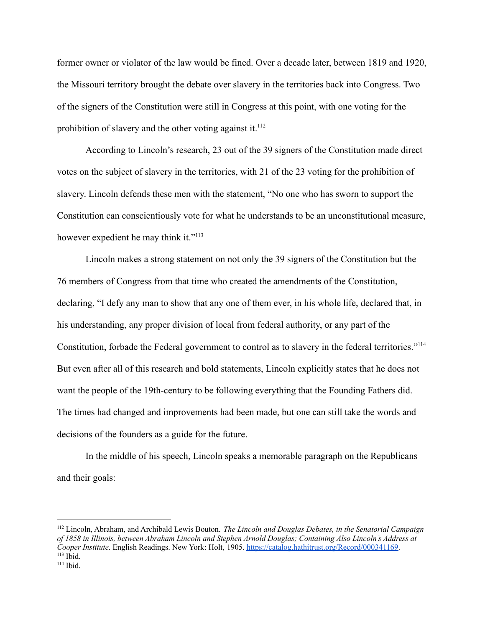former owner or violator of the law would be fined. Over a decade later, between 1819 and 1920, the Missouri territory brought the debate over slavery in the territories back into Congress. Two of the signers of the Constitution were still in Congress at this point, with one voting for the prohibition of slavery and the other voting against it.<sup>112</sup>

According to Lincoln's research, 23 out of the 39 signers of the Constitution made direct votes on the subject of slavery in the territories, with 21 of the 23 voting for the prohibition of slavery. Lincoln defends these men with the statement, "No one who has sworn to support the Constitution can conscientiously vote for what he understands to be an unconstitutional measure, however expedient he may think it."<sup>113</sup>

Lincoln makes a strong statement on not only the 39 signers of the Constitution but the 76 members of Congress from that time who created the amendments of the Constitution, declaring, "I defy any man to show that any one of them ever, in his whole life, declared that, in his understanding, any proper division of local from federal authority, or any part of the Constitution, forbade the Federal government to control as to slavery in the federal territories."<sup>114</sup> But even after all of this research and bold statements, Lincoln explicitly states that he does not want the people of the 19th-century to be following everything that the Founding Fathers did. The times had changed and improvements had been made, but one can still take the words and decisions of the founders as a guide for the future.

In the middle of his speech, Lincoln speaks a memorable paragraph on the Republicans and their goals:

 $113$  Ibid. <sup>112</sup> Lincoln, Abraham, and Archibald Lewis Bouton. *The Lincoln and Douglas Debates, in the Senatorial Campaign of 1858 in Illinois, between Abraham Lincoln and Stephen Arnold Douglas; Containing Also Lincoln's Address at Cooper Institute*. English Readings. New York: Holt, 1905. <https://catalog.hathitrust.org/Record/000341169>.

 $114$  Ibid.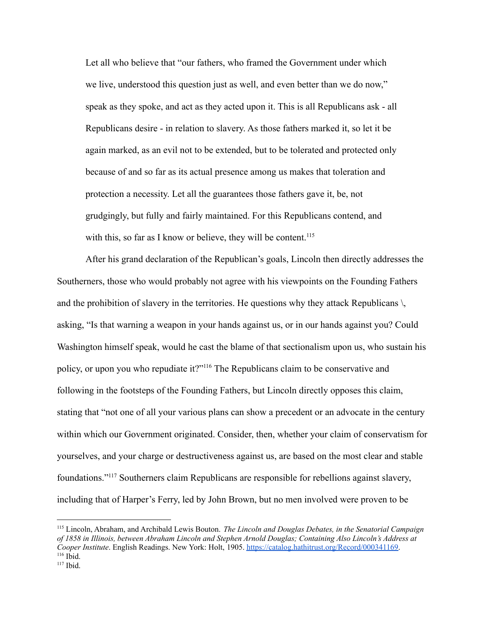Let all who believe that "our fathers, who framed the Government under which we live, understood this question just as well, and even better than we do now," speak as they spoke, and act as they acted upon it. This is all Republicans ask - all Republicans desire - in relation to slavery. As those fathers marked it, so let it be again marked, as an evil not to be extended, but to be tolerated and protected only because of and so far as its actual presence among us makes that toleration and protection a necessity. Let all the guarantees those fathers gave it, be, not grudgingly, but fully and fairly maintained. For this Republicans contend, and with this, so far as I know or believe, they will be content.<sup>115</sup>

After his grand declaration of the Republican's goals, Lincoln then directly addresses the Southerners, those who would probably not agree with his viewpoints on the Founding Fathers and the prohibition of slavery in the territories. He questions why they attack Republicans  $\setminus$ asking, "Is that warning a weapon in your hands against us, or in our hands against you? Could Washington himself speak, would he cast the blame of that sectionalism upon us, who sustain his policy, or upon you who repudiate it?"<sup>116</sup> The Republicans claim to be conservative and following in the footsteps of the Founding Fathers, but Lincoln directly opposes this claim, stating that "not one of all your various plans can show a precedent or an advocate in the century within which our Government originated. Consider, then, whether your claim of conservatism for yourselves, and your charge or destructiveness against us, are based on the most clear and stable foundations."<sup>117</sup> Southerners claim Republicans are responsible for rebellions against slavery, including that of Harper's Ferry, led by John Brown, but no men involved were proven to be

 $116$  Ibid. <sup>115</sup> Lincoln, Abraham, and Archibald Lewis Bouton. *The Lincoln and Douglas Debates, in the Senatorial Campaign of 1858 in Illinois, between Abraham Lincoln and Stephen Arnold Douglas; Containing Also Lincoln's Address at Cooper Institute*. English Readings. New York: Holt, 1905. <https://catalog.hathitrust.org/Record/000341169>.

 $117$  Ibid.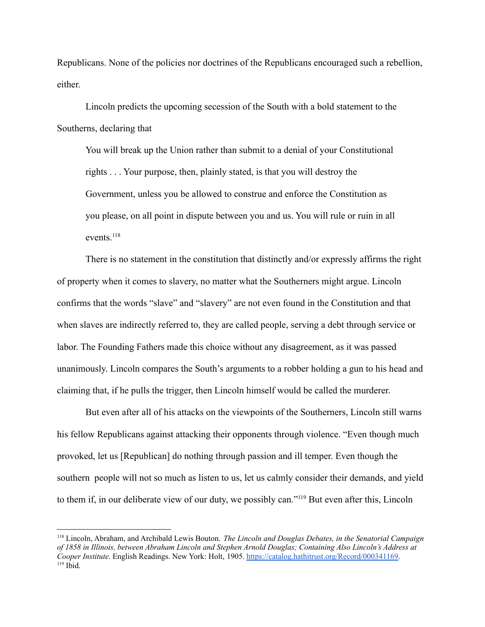Republicans. None of the policies nor doctrines of the Republicans encouraged such a rebellion, either.

Lincoln predicts the upcoming secession of the South with a bold statement to the Southerns, declaring that

You will break up the Union rather than submit to a denial of your Constitutional rights . . . Your purpose, then, plainly stated, is that you will destroy the Government, unless you be allowed to construe and enforce the Constitution as you please, on all point in dispute between you and us. You will rule or ruin in all events<sup>118</sup>

There is no statement in the constitution that distinctly and/or expressly affirms the right of property when it comes to slavery, no matter what the Southerners might argue. Lincoln confirms that the words "slave" and "slavery" are not even found in the Constitution and that when slaves are indirectly referred to, they are called people, serving a debt through service or labor. The Founding Fathers made this choice without any disagreement, as it was passed unanimously. Lincoln compares the South's arguments to a robber holding a gun to his head and claiming that, if he pulls the trigger, then Lincoln himself would be called the murderer.

But even after all of his attacks on the viewpoints of the Southerners, Lincoln still warns his fellow Republicans against attacking their opponents through violence. "Even though much provoked, let us [Republican] do nothing through passion and ill temper. Even though the southern people will not so much as listen to us, let us calmly consider their demands, and yield to them if, in our deliberate view of our duty, we possibly can."<sup>119</sup> But even after this, Lincoln

 $119$  Ibid. <sup>118</sup> Lincoln, Abraham, and Archibald Lewis Bouton. *The Lincoln and Douglas Debates, in the Senatorial Campaign of 1858 in Illinois, between Abraham Lincoln and Stephen Arnold Douglas; Containing Also Lincoln's Address at Cooper Institute*. English Readings. New York: Holt, 1905. <https://catalog.hathitrust.org/Record/000341169>.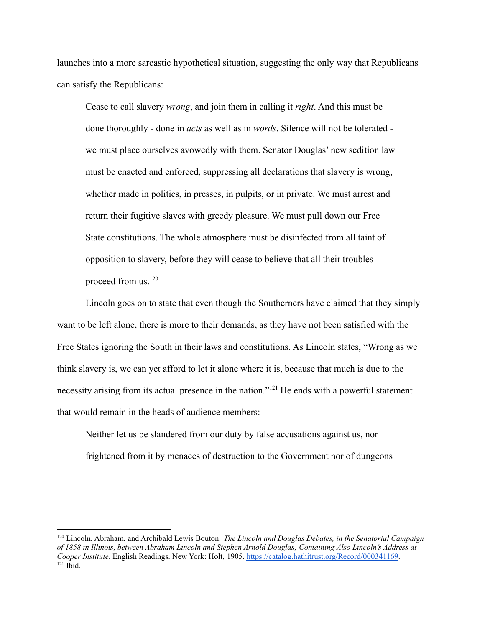launches into a more sarcastic hypothetical situation, suggesting the only way that Republicans can satisfy the Republicans:

Cease to call slavery *wrong*, and join them in calling it *right*. And this must be done thoroughly - done in *acts* as well as in *words*. Silence will not be tolerated we must place ourselves avowedly with them. Senator Douglas' new sedition law must be enacted and enforced, suppressing all declarations that slavery is wrong, whether made in politics, in presses, in pulpits, or in private. We must arrest and return their fugitive slaves with greedy pleasure. We must pull down our Free State constitutions. The whole atmosphere must be disinfected from all taint of opposition to slavery, before they will cease to believe that all their troubles proceed from us. $120$ 

Lincoln goes on to state that even though the Southerners have claimed that they simply want to be left alone, there is more to their demands, as they have not been satisfied with the Free States ignoring the South in their laws and constitutions. As Lincoln states, "Wrong as we think slavery is, we can yet afford to let it alone where it is, because that much is due to the necessity arising from its actual presence in the nation."<sup>121</sup> He ends with a powerful statement that would remain in the heads of audience members:

Neither let us be slandered from our duty by false accusations against us, nor frightened from it by menaces of destruction to the Government nor of dungeons

 $121$  Ibid. <sup>120</sup> Lincoln, Abraham, and Archibald Lewis Bouton. *The Lincoln and Douglas Debates, in the Senatorial Campaign of 1858 in Illinois, between Abraham Lincoln and Stephen Arnold Douglas; Containing Also Lincoln's Address at Cooper Institute*. English Readings. New York: Holt, 1905. <https://catalog.hathitrust.org/Record/000341169>.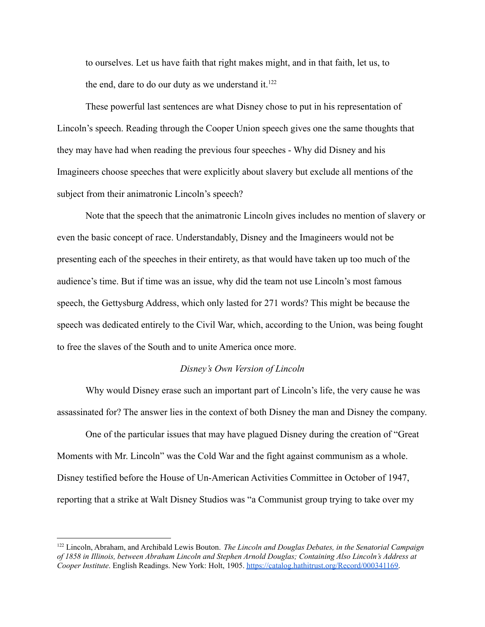to ourselves. Let us have faith that right makes might, and in that faith, let us, to the end, dare to do our duty as we understand it. $122$ 

These powerful last sentences are what Disney chose to put in his representation of Lincoln's speech. Reading through the Cooper Union speech gives one the same thoughts that they may have had when reading the previous four speeches - Why did Disney and his Imagineers choose speeches that were explicitly about slavery but exclude all mentions of the subject from their animatronic Lincoln's speech?

Note that the speech that the animatronic Lincoln gives includes no mention of slavery or even the basic concept of race. Understandably, Disney and the Imagineers would not be presenting each of the speeches in their entirety, as that would have taken up too much of the audience's time. But if time was an issue, why did the team not use Lincoln's most famous speech, the Gettysburg Address, which only lasted for 271 words? This might be because the speech was dedicated entirely to the Civil War, which, according to the Union, was being fought to free the slaves of the South and to unite America once more.

#### *Disney's Own Version of Lincoln*

Why would Disney erase such an important part of Lincoln's life, the very cause he was assassinated for? The answer lies in the context of both Disney the man and Disney the company.

One of the particular issues that may have plagued Disney during the creation of "Great Moments with Mr. Lincoln" was the Cold War and the fight against communism as a whole. Disney testified before the House of Un-American Activities Committee in October of 1947, reporting that a strike at Walt Disney Studios was "a Communist group trying to take over my

<sup>122</sup> Lincoln, Abraham, and Archibald Lewis Bouton. *The Lincoln and Douglas Debates, in the Senatorial Campaign of 1858 in Illinois, between Abraham Lincoln and Stephen Arnold Douglas; Containing Also Lincoln's Address at Cooper Institute*. English Readings. New York: Holt, 1905. <https://catalog.hathitrust.org/Record/000341169>.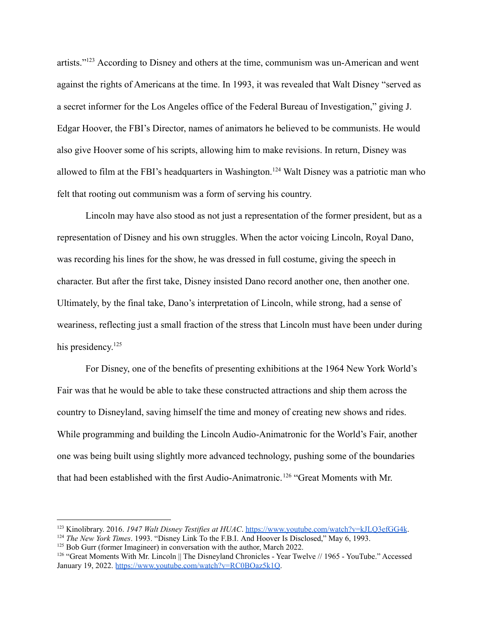artists."<sup>123</sup> According to Disney and others at the time, communism was un-American and went against the rights of Americans at the time. In 1993, it was revealed that Walt Disney "served as a secret informer for the Los Angeles office of the Federal Bureau of Investigation," giving J. Edgar Hoover, the FBI's Director, names of animators he believed to be communists. He would also give Hoover some of his scripts, allowing him to make revisions. In return, Disney was allowed to film at the FBI's headquarters in Washington.<sup>124</sup> Walt Disney was a patriotic man who felt that rooting out communism was a form of serving his country.

Lincoln may have also stood as not just a representation of the former president, but as a representation of Disney and his own struggles. When the actor voicing Lincoln, Royal Dano, was recording his lines for the show, he was dressed in full costume, giving the speech in character. But after the first take, Disney insisted Dano record another one, then another one. Ultimately, by the final take, Dano's interpretation of Lincoln, while strong, had a sense of weariness, reflecting just a small fraction of the stress that Lincoln must have been under during his presidency.<sup>125</sup>

For Disney, one of the benefits of presenting exhibitions at the 1964 New York World's Fair was that he would be able to take these constructed attractions and ship them across the country to Disneyland, saving himself the time and money of creating new shows and rides. While programming and building the Lincoln Audio-Animatronic for the World's Fair, another one was being built using slightly more advanced technology, pushing some of the boundaries that had been established with the first Audio-Animatronic.<sup>126</sup> "Great Moments with Mr.

<sup>123</sup> Kinolibrary. 2016. *1947 Walt Disney Testifies at HUAC*. <https://www.youtube.com/watch?v=kJLQ3efGG4k>.

<sup>124</sup> *The New York Times*. 1993. "Disney Link To the F.B.I. And Hoover Is Disclosed," May 6, 1993.

 $125$  Bob Gurr (former Imagineer) in conversation with the author, March 2022.

<sup>&</sup>lt;sup>126</sup> "Great Moments With Mr. Lincoln || The Disneyland Chronicles - Year Twelve // 1965 - YouTube." Accessed January 19, 2022. [https://www.youtube.com/watch?v=RC0BOaz5k1Q.](https://www.youtube.com/watch?v=RC0BOaz5k1Q)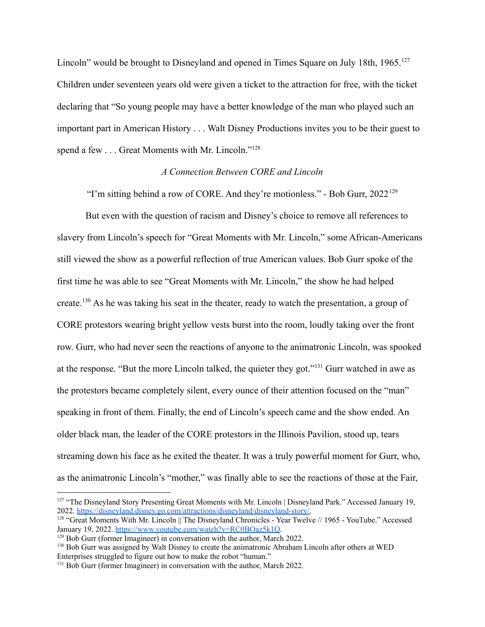Lincoln" would be brought to Disneyland and opened in Times Square on July 18th, 1965.<sup>127</sup> Children under seventeen years old were given a ticket to the attraction for free, with the ticket declaring that "So young people may have a better knowledge of the man who played such an important part in American History . . . Walt Disney Productions invites you to be their guest to spend a few . . . Great Moments with Mr. Lincoln."<sup>128</sup>

## *A Connection Between CORE and Lincoln*

"I'm sitting behind a row of CORE. And they're motionless." - Bob Gurr, 2022<sup>129</sup>

But even with the question of racism and Disney's choice to remove all references to slavery from Lincoln's speech for "Great Moments with Mr. Lincoln," some African-Americans still viewed the show as a powerful reflection of true American values. Bob Gurr spoke of the first time he was able to see "Great Moments with Mr. Lincoln," the show he had helped create.<sup>130</sup> As he was taking his seat in the theater, ready to watch the presentation, a group of CORE protestors wearing bright yellow vests burst into the room, loudly taking over the front row. Gurr, who had never seen the reactions of anyone to the animatronic Lincoln, was spooked at the response. "But the more Lincoln talked, the quieter they got."<sup>131</sup> Gurr watched in awe as the protestors became completely silent, every ounce of their attention focused on the "man" speaking in front of them. Finally, the end of Lincoln's speech came and the show ended. An older black man, the leader of the CORE protestors in the Illinois Pavilion, stood up, tears streaming down his face as he exited the theater. It was a truly powerful moment for Gurr, who, as the animatronic Lincoln's "mother," was finally able to see the reactions of those at the Fair,

<sup>&</sup>lt;sup>127</sup> "The Disneyland Story Presenting Great Moments with Mr. Lincoln | Disneyland Park." Accessed January 19, 2022. [https://disneyland.disney.go.com/attractions/disneyland/disneyland-story/.](https://disneyland.disney.go.com/attractions/disneyland/disneyland-story/)

<sup>128</sup> "Great Moments With Mr. Lincoln || The Disneyland Chronicles - Year Twelve // 1965 - YouTube." Accessed January 19, 2022. [https://www.youtube.com/watch?v=RC0BOaz5k1Q.](https://www.youtube.com/watch?v=RC0BOaz5k1Q)

<sup>&</sup>lt;sup>129</sup> Bob Gurr (former Imagineer) in conversation with the author, March 2022.

<sup>&</sup>lt;sup>130</sup> Bob Gurr was assigned by Walt Disney to create the animatronic Abraham Lincoln after others at WED Enterprises struggled to figure out how to make the robot "human."

<sup>&</sup>lt;sup>131</sup> Bob Gurr (former Imagineer) in conversation with the author, March 2022.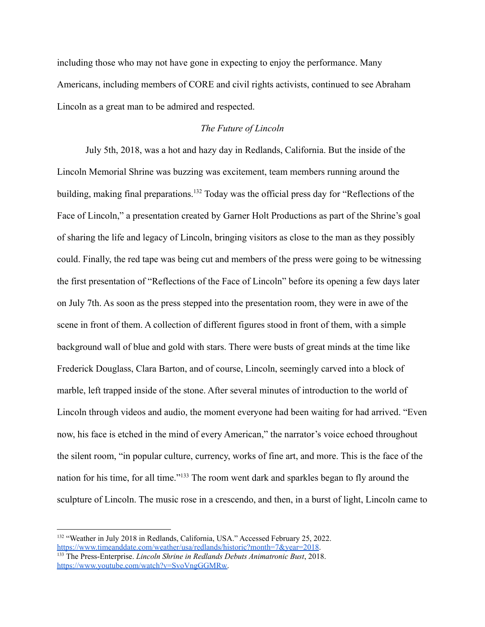including those who may not have gone in expecting to enjoy the performance. Many Americans, including members of CORE and civil rights activists, continued to see Abraham Lincoln as a great man to be admired and respected.

# *The Future of Lincoln*

July 5th, 2018, was a hot and hazy day in Redlands, California. But the inside of the Lincoln Memorial Shrine was buzzing was excitement, team members running around the building, making final preparations.<sup>132</sup> Today was the official press day for "Reflections of the Face of Lincoln," a presentation created by Garner Holt Productions as part of the Shrine's goal of sharing the life and legacy of Lincoln, bringing visitors as close to the man as they possibly could. Finally, the red tape was being cut and members of the press were going to be witnessing the first presentation of "Reflections of the Face of Lincoln" before its opening a few days later on July 7th. As soon as the press stepped into the presentation room, they were in awe of the scene in front of them. A collection of different figures stood in front of them, with a simple background wall of blue and gold with stars. There were busts of great minds at the time like Frederick Douglass, Clara Barton, and of course, Lincoln, seemingly carved into a block of marble, left trapped inside of the stone. After several minutes of introduction to the world of Lincoln through videos and audio, the moment everyone had been waiting for had arrived. "Even now, his face is etched in the mind of every American," the narrator's voice echoed throughout the silent room, "in popular culture, currency, works of fine art, and more. This is the face of the nation for his time, for all time."<sup>133</sup> The room went dark and sparkles began to fly around the sculpture of Lincoln. The music rose in a crescendo, and then, in a burst of light, Lincoln came to

<sup>&</sup>lt;sup>132</sup> "Weather in July 2018 in Redlands, California, USA." Accessed February 25, 2022. [https://www.timeanddate.com/weather/usa/redlands/historic?month=7&year=2018.](https://www.timeanddate.com/weather/usa/redlands/historic?month=7&year=2018)

<sup>133</sup> The Press-Enterprise. *Lincoln Shrine in Redlands Debuts Animatronic Bust*, 2018. [https://www.youtube.com/watch?v=SvoVngGGMRw.](https://www.youtube.com/watch?v=SvoVngGGMRw)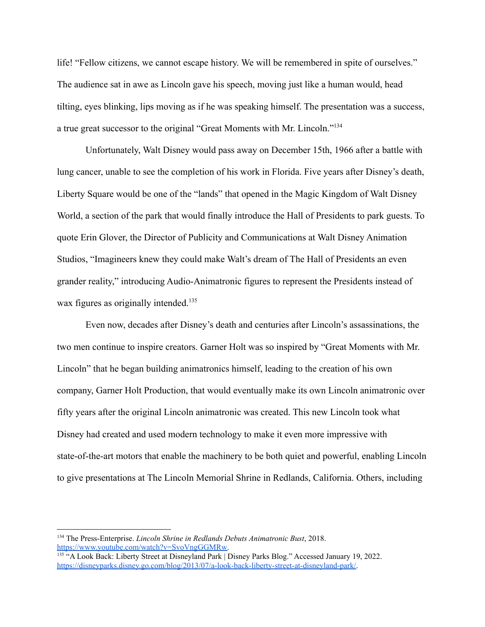life! "Fellow citizens, we cannot escape history. We will be remembered in spite of ourselves." The audience sat in awe as Lincoln gave his speech, moving just like a human would, head tilting, eyes blinking, lips moving as if he was speaking himself. The presentation was a success, a true great successor to the original "Great Moments with Mr. Lincoln."<sup>134</sup>

Unfortunately, Walt Disney would pass away on December 15th, 1966 after a battle with lung cancer, unable to see the completion of his work in Florida. Five years after Disney's death, Liberty Square would be one of the "lands" that opened in the Magic Kingdom of Walt Disney World, a section of the park that would finally introduce the Hall of Presidents to park guests. To quote Erin Glover, the Director of Publicity and Communications at Walt Disney Animation Studios, "Imagineers knew they could make Walt's dream of The Hall of Presidents an even grander reality," introducing Audio-Animatronic figures to represent the Presidents instead of wax figures as originally intended.<sup>135</sup>

Even now, decades after Disney's death and centuries after Lincoln's assassinations, the two men continue to inspire creators. Garner Holt was so inspired by "Great Moments with Mr. Lincoln" that he began building animatronics himself, leading to the creation of his own company, Garner Holt Production, that would eventually make its own Lincoln animatronic over fifty years after the original Lincoln animatronic was created. This new Lincoln took what Disney had created and used modern technology to make it even more impressive with state-of-the-art motors that enable the machinery to be both quiet and powerful, enabling Lincoln to give presentations at The Lincoln Memorial Shrine in Redlands, California. Others, including

<sup>134</sup> The Press-Enterprise. *Lincoln Shrine in Redlands Debuts Animatronic Bust*, 2018. [https://www.youtube.com/watch?v=SvoVngGGMRw.](https://www.youtube.com/watch?v=SvoVngGGMRw)

<sup>&</sup>lt;sup>135</sup> "A Look Back: Liberty Street at Disneyland Park | Disney Parks Blog." Accessed January 19, 2022. [https://disneyparks.disney.go.com/blog/2013/07/a-look-back-liberty-street-at-disneyland-park/.](https://disneyparks.disney.go.com/blog/2013/07/a-look-back-liberty-street-at-disneyland-park/)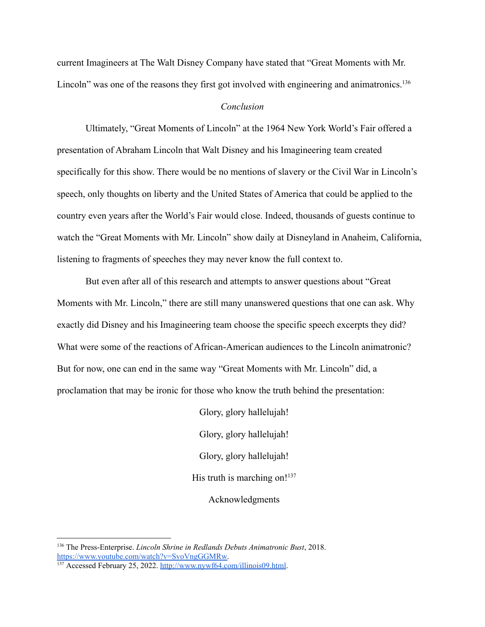current Imagineers at The Walt Disney Company have stated that "Great Moments with Mr. Lincoln" was one of the reasons they first got involved with engineering and animatronics.<sup>136</sup>

## *Conclusion*

Ultimately, "Great Moments of Lincoln" at the 1964 New York World's Fair offered a presentation of Abraham Lincoln that Walt Disney and his Imagineering team created specifically for this show. There would be no mentions of slavery or the Civil War in Lincoln's speech, only thoughts on liberty and the United States of America that could be applied to the country even years after the World's Fair would close. Indeed, thousands of guests continue to watch the "Great Moments with Mr. Lincoln" show daily at Disneyland in Anaheim, California, listening to fragments of speeches they may never know the full context to.

But even after all of this research and attempts to answer questions about "Great Moments with Mr. Lincoln," there are still many unanswered questions that one can ask. Why exactly did Disney and his Imagineering team choose the specific speech excerpts they did? What were some of the reactions of African-American audiences to the Lincoln animatronic? But for now, one can end in the same way "Great Moments with Mr. Lincoln" did, a proclamation that may be ironic for those who know the truth behind the presentation:

> Glory, glory hallelujah! Glory, glory hallelujah! Glory, glory hallelujah! His truth is marching on! $137$

Acknowledgments

<sup>136</sup> The Press-Enterprise. *Lincoln Shrine in Redlands Debuts Animatronic Bust*, 2018. [https://www.youtube.com/watch?v=SvoVngGGMRw.](https://www.youtube.com/watch?v=SvoVngGGMRw)

<sup>&</sup>lt;sup>137</sup> Accessed February 25, 2022. <http://www.nywf64.com/illinois09.html>.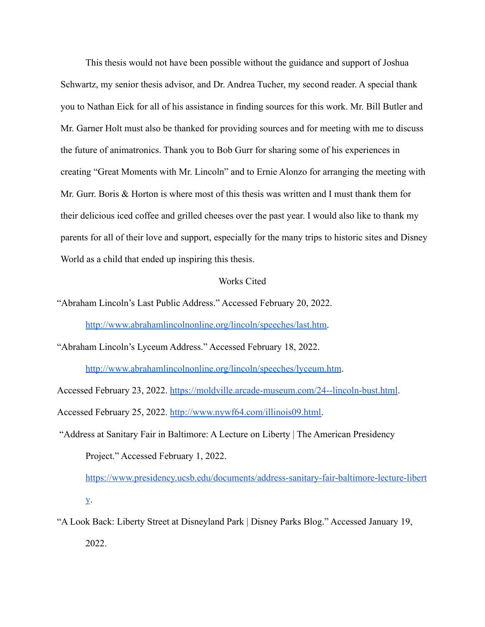This thesis would not have been possible without the guidance and support of Joshua Schwartz, my senior thesis advisor, and Dr. Andrea Tucher, my second reader. A special thank you to Nathan Eick for all of his assistance in finding sources for this work. Mr. Bill Butler and Mr. Garner Holt must also be thanked for providing sources and for meeting with me to discuss the future of animatronics. Thank you to Bob Gurr for sharing some of his experiences in creating "Great Moments with Mr. Lincoln" and to Ernie Alonzo for arranging the meeting with Mr. Gurr. Boris & Horton is where most of this thesis was written and I must thank them for their delicious iced coffee and grilled cheeses over the past year. I would also like to thank my parents for all of their love and support, especially for the many trips to historic sites and Disney World as a child that ended up inspiring this thesis.

#### Works Cited

"Abraham Lincoln's Last Public Address." Accessed February 20, 2022.

[http://www.abrahamlincolnonline.org/lincoln/speeches/last.htm.](http://www.abrahamlincolnonline.org/lincoln/speeches/last.htm)

"Abraham Lincoln's Lyceum Address." Accessed February 18, 2022.

<http://www.abrahamlincolnonline.org/lincoln/speeches/lyceum.htm>.

Accessed February 23, 2022. <https://moldville.arcade-museum.com/24--lincoln-bust.html>.

Accessed February 25, 2022. [http://www.nywf64.com/illinois09.html.](http://www.nywf64.com/illinois09.html)

"Address at Sanitary Fair in Baltimore: A Lecture on Liberty | The American Presidency Project." Accessed February 1, 2022.

[https://www.presidency.ucsb.edu/documents/address-sanitary-fair-baltimore-lecture-libert](https://www.presidency.ucsb.edu/documents/address-sanitary-fair-baltimore-lecture-liberty) [y](https://www.presidency.ucsb.edu/documents/address-sanitary-fair-baltimore-lecture-liberty).

"A Look Back: Liberty Street at Disneyland Park | Disney Parks Blog." Accessed January 19, 2022.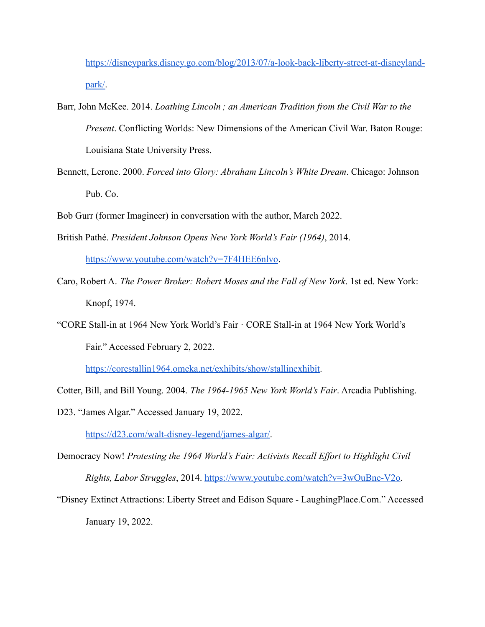[https://disneyparks.disney.go.com/blog/2013/07/a-look-back-liberty-street-at-disneyland](https://disneyparks.disney.go.com/blog/2013/07/a-look-back-liberty-street-at-disneyland-park/)[park/.](https://disneyparks.disney.go.com/blog/2013/07/a-look-back-liberty-street-at-disneyland-park/)

- Barr, John McKee. 2014. *Loathing Lincoln ; an American Tradition from the Civil War to the Present*. Conflicting Worlds: New Dimensions of the American Civil War. Baton Rouge: Louisiana State University Press.
- Bennett, Lerone. 2000. *Forced into Glory: Abraham Lincoln's White Dream*. Chicago: Johnson Pub. Co.
- Bob Gurr (former Imagineer) in conversation with the author, March 2022.
- British Pathé. *President Johnson Opens New York World's Fair (1964)*, 2014.

<https://www.youtube.com/watch?v=7F4HEE6nlvo>.

- Caro, Robert A. *The Power Broker: Robert Moses and the Fall of New York*. 1st ed. New York: Knopf, 1974.
- "CORE Stall-in at 1964 New York World's Fair · CORE Stall-in at 1964 New York World's Fair." Accessed February 2, 2022.

[https://corestallin1964.omeka.net/exhibits/show/stallinexhibit.](https://corestallin1964.omeka.net/exhibits/show/stallinexhibit)

- Cotter, Bill, and Bill Young. 2004. *The 1964-1965 New York World's Fair*. Arcadia Publishing.
- D23. "James Algar." Accessed January 19, 2022.

[https://d23.com/walt-disney-legend/james-algar/.](https://d23.com/walt-disney-legend/james-algar/)

- Democracy Now! *Protesting the 1964 World's Fair: Activists Recall Effort to Highlight Civil Rights, Labor Struggles*, 2014. [https://www.youtube.com/watch?v=3wOuBne-V2o.](https://www.youtube.com/watch?v=3wOuBne-V2o)
- "Disney Extinct Attractions: Liberty Street and Edison Square LaughingPlace.Com." Accessed January 19, 2022[.](https://www.laughingplace.com/w/blogs/disney-extinct-attractions/2018/03/22/disney-extinct-attractions-liberty-street-edison-square/)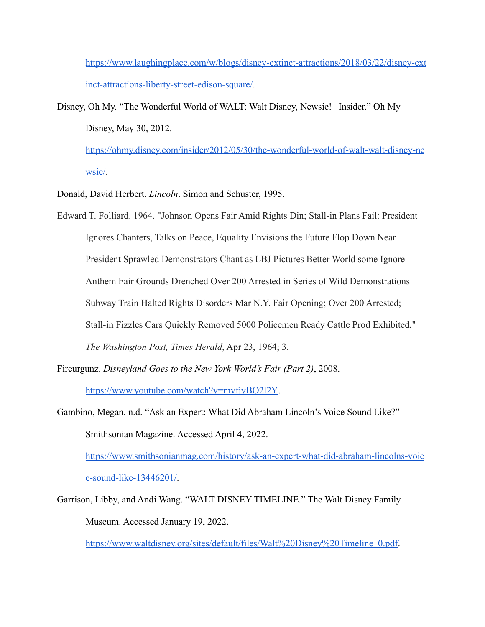[https://www.laughingplace.com/w/blogs/disney-extinct-attractions/2018/03/22/disney-ext](https://www.laughingplace.com/w/blogs/disney-extinct-attractions/2018/03/22/disney-extinct-attractions-liberty-street-edison-square/) [inct-attractions-liberty-street-edison-square/](https://www.laughingplace.com/w/blogs/disney-extinct-attractions/2018/03/22/disney-extinct-attractions-liberty-street-edison-square/).

Disney, Oh My. "The Wonderful World of WALT: Walt Disney, Newsie! | Insider." Oh My Disney, May 30, 2012[.](https://ohmy.disney.com/insider/2012/05/30/the-wonderful-world-of-walt-walt-disney-newsie/)

[https://ohmy.disney.com/insider/2012/05/30/the-wonderful-world-of-walt-walt-disney-ne](https://ohmy.disney.com/insider/2012/05/30/the-wonderful-world-of-walt-walt-disney-newsie/) [wsie/](https://ohmy.disney.com/insider/2012/05/30/the-wonderful-world-of-walt-walt-disney-newsie/).

Donald, David Herbert. *Lincoln*. Simon and Schuster, 1995.

- Edward T. Folliard. 1964. "Johnson Opens Fair Amid Rights Din; Stall-in Plans Fail: President Ignores Chanters, Talks on Peace, Equality Envisions the Future Flop Down Near President Sprawled Demonstrators Chant as LBJ Pictures Better World some Ignore Anthem Fair Grounds Drenched Over 200 Arrested in Series of Wild Demonstrations Subway Train Halted Rights Disorders Mar N.Y. Fair Opening; Over 200 Arrested; Stall-in Fizzles Cars Quickly Removed 5000 Policemen Ready Cattle Prod Exhibited," *The Washington Post, Times Herald*, Apr 23, 1964; 3.
- Fireurgunz. *Disneyland Goes to the New York World's Fair (Part 2)*, 2008[.](https://www.youtube.com/watch?v=mvfjvBO2l2Y) <https://www.youtube.com/watch?v=mvfjvBO2l2Y>.
- Gambino, Megan. n.d. "Ask an Expert: What Did Abraham Lincoln's Voice Sound Like?" Smithsonian Magazine. Accessed April 4, 2022.

[https://www.smithsonianmag.com/history/ask-an-expert-what-did-abraham-lincolns-voic](https://www.smithsonianmag.com/history/ask-an-expert-what-did-abraham-lincolns-voice-sound-like-13446201/) [e-sound-like-13446201/](https://www.smithsonianmag.com/history/ask-an-expert-what-did-abraham-lincolns-voice-sound-like-13446201/).

Garrison, Libby, and Andi Wang. "WALT DISNEY TIMELINE." The Walt Disney Family Museum. Accessed January 19, 2022.

[https://www.waltdisney.org/sites/default/files/Walt%20Disney%20Timeline\\_0.pdf](https://www.waltdisney.org/sites/default/files/Walt%20Disney%20Timeline_0.pdf).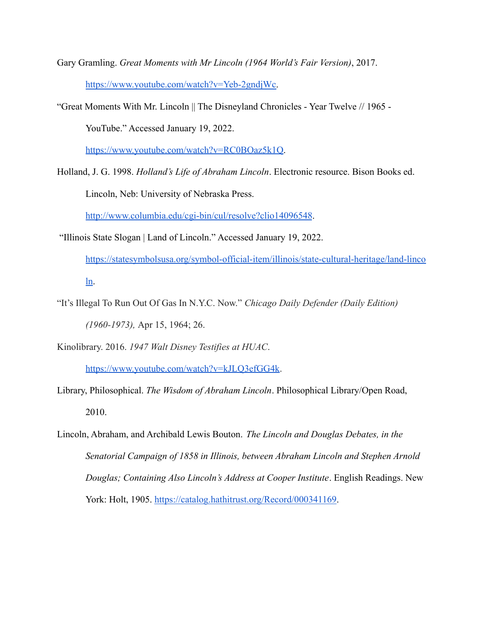Gary Gramling. *Great Moments with Mr Lincoln (1964 World's Fair Version)*, 2017. [https://www.youtube.com/watch?v=Yeb-2gndjWc.](https://www.youtube.com/watch?v=Yeb-2gndjWc)

"Great Moments With Mr. Lincoln || The Disneyland Chronicles - Year Twelve // 1965 - YouTube." Accessed January 19, 2022.

[https://www.youtube.com/watch?v=RC0BOaz5k1Q.](https://www.youtube.com/watch?v=RC0BOaz5k1Q)

- Holland, J. G. 1998. *Holland's Life of Abraham Lincoln*. Electronic resource. Bison Books ed. Lincoln, Neb: University of Nebraska Press. <http://www.columbia.edu/cgi-bin/cul/resolve?clio14096548>.
- "Illinois State Slogan | Land of Lincoln." Accessed January 19, 2022.
	- [https://statesymbolsusa.org/symbol-official-item/illinois/state-cultural-heritage/land-linco](https://statesymbolsusa.org/symbol-official-item/illinois/state-cultural-heritage/land-lincoln) [ln](https://statesymbolsusa.org/symbol-official-item/illinois/state-cultural-heritage/land-lincoln).
- "It's Illegal To Run Out Of Gas In N.Y.C. Now." *Chicago Daily Defender (Daily Edition) (1960-1973),* Apr 15, 1964; 26.
- Kinolibrary. 2016. *1947 Walt Disney Testifies at HUAC*.

<https://www.youtube.com/watch?v=kJLQ3efGG4k>.

- Library, Philosophical. *The Wisdom of Abraham Lincoln*. Philosophical Library/Open Road, 2010.
- Lincoln, Abraham, and Archibald Lewis Bouton. *The Lincoln and Douglas Debates, in the Senatorial Campaign of 1858 in Illinois, between Abraham Lincoln and Stephen Arnold Douglas; Containing Also Lincoln's Address at Cooper Institute*. English Readings. New York: Holt, 1905. <https://catalog.hathitrust.org/Record/000341169>.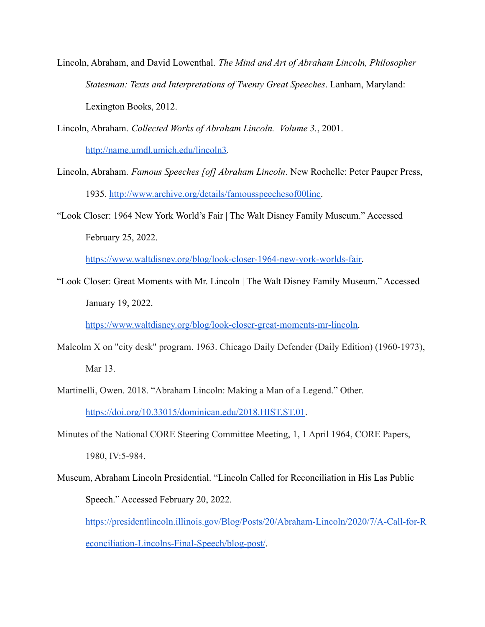- Lincoln, Abraham, and David Lowenthal. *The Mind and Art of Abraham Lincoln, Philosopher Statesman: Texts and Interpretations of Twenty Great Speeches*. Lanham, Maryland: Lexington Books, 2012.
- Lincoln, Abraham. *Collected Works of Abraham Lincoln. Volume 3.*, 2001. <http://name.umdl.umich.edu/lincoln3>.
- Lincoln, Abraham. *Famous Speeches [of] Abraham Lincoln*. New Rochelle: Peter Pauper Press, 1935. [http://www.archive.org/details/famousspeechesof00linc.](http://www.archive.org/details/famousspeechesof00linc)
- "Look Closer: 1964 New York World's Fair | The Walt Disney Family Museum." Accessed February 25, 2022[.](https://www.waltdisney.org/blog/look-closer-1964-new-york-worlds-fair)

[https://www.waltdisney.org/blog/look-closer-1964-new-york-worlds-fair.](https://www.waltdisney.org/blog/look-closer-1964-new-york-worlds-fair)

"Look Closer: Great Moments with Mr. Lincoln | The Walt Disney Family Museum." Accessed January 19, 2022[.](https://www.waltdisney.org/blog/look-closer-great-moments-mr-lincoln)

[https://www.waltdisney.org/blog/look-closer-great-moments-mr-lincoln.](https://www.waltdisney.org/blog/look-closer-great-moments-mr-lincoln)

- Malcolm X on "city desk" program. 1963. Chicago Daily Defender (Daily Edition) (1960-1973), Mar 13.
- Martinelli, Owen. 2018. "Abraham Lincoln: Making a Man of a Legend." Other[.](https://doi.org/10.33015/dominican.edu/2018.HIST.ST.01) <https://doi.org/10.33015/dominican.edu/2018.HIST.ST.01>.
- Minutes of the National CORE Steering Committee Meeting, 1, 1 April 1964, CORE Papers, 1980, IV:5-984.
- Museum, Abraham Lincoln Presidential. "Lincoln Called for Reconciliation in His Las Public Speech." Accessed February 20, 2022.

[https://presidentlincoln.illinois.gov/Blog/Posts/20/Abraham-Lincoln/2020/7/A-Call-for-R](https://presidentlincoln.illinois.gov/Blog/Posts/20/Abraham-Lincoln/2020/7/A-Call-for-Reconciliation-Lincolns-Final-Speech/blog-post/) [econciliation-Lincolns-Final-Speech/blog-post/](https://presidentlincoln.illinois.gov/Blog/Posts/20/Abraham-Lincoln/2020/7/A-Call-for-Reconciliation-Lincolns-Final-Speech/blog-post/).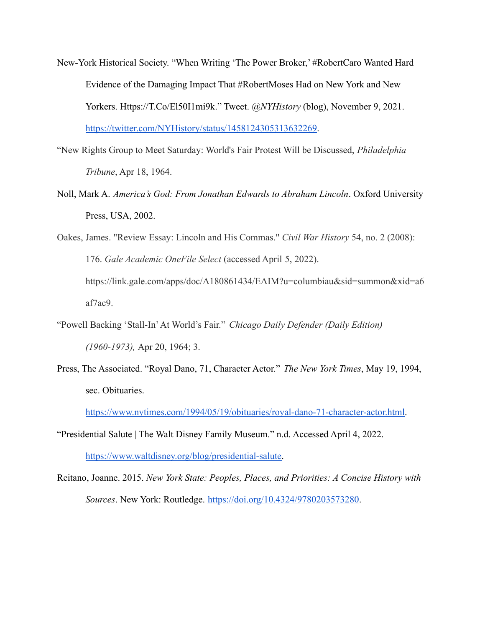- New-York Historical Society. "When Writing 'The Power Broker,' #RobertCaro Wanted Hard Evidence of the Damaging Impact That #RobertMoses Had on New York and New Yorkers. Https://T.Co/El50I1mi9k." Tweet. *@NYHistory* (blog), November 9, 2021. <https://twitter.com/NYHistory/status/1458124305313632269>.
- "New Rights Group to Meet Saturday: World's Fair Protest Will be Discussed, *Philadelphia Tribune*, Apr 18, 1964.
- Noll, Mark A. *America's God: From Jonathan Edwards to Abraham Lincoln*. Oxford University Press, USA, 2002.
- Oakes, James. "Review Essay: Lincoln and His Commas." *Civil War History* 54, no. 2 (2008): 176. *Gale Academic OneFile Select* (accessed April 5, 2022). https://link.gale.com/apps/doc/A180861434/EAIM?u=columbiau&sid=summon&xid=a6 af7ac9.
- "Powell Backing 'Stall-In'At World's Fair." *Chicago Daily Defender (Daily Edition) (1960-1973),* Apr 20, 1964; 3.
- Press, The Associated. "Royal Dano, 71, Character Actor." *The New York Times*, May 19, 1994, sec. Obituaries[.](https://www.nytimes.com/1994/05/19/obituaries/royal-dano-71-character-actor.html)

<https://www.nytimes.com/1994/05/19/obituaries/royal-dano-71-character-actor.html>.

- "Presidential Salute | The Walt Disney Family Museum." n.d. Accessed April 4, 2022. [https://www.waltdisney.org/blog/presidential-salute.](https://www.waltdisney.org/blog/presidential-salute)
- Reitano, Joanne. 2015. *New York State: Peoples, Places, and Priorities: A Concise History with Sources*. New York: Routledge. <https://doi.org/10.4324/9780203573280>.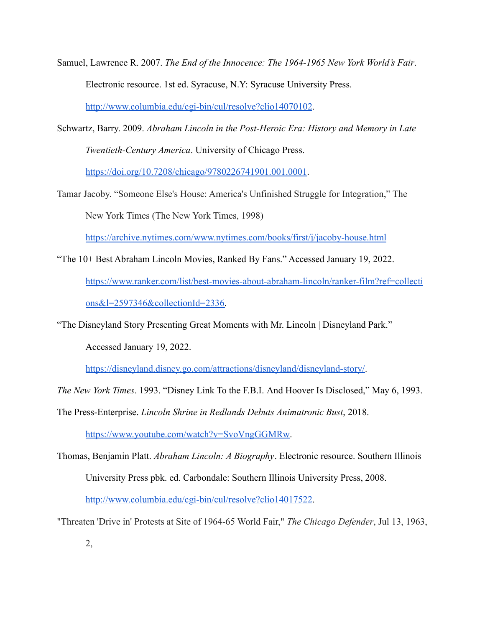Samuel, Lawrence R. 2007. *The End of the Innocence: The 1964-1965 New York World's Fair*. Electronic resource. 1st ed. Syracuse, N.Y: Syracuse University Press[.](http://www.columbia.edu/cgi-bin/cul/resolve?clio14070102) <http://www.columbia.edu/cgi-bin/cul/resolve?clio14070102>.

Schwartz, Barry. 2009. *Abraham Lincoln in the Post-Heroic Era: History and Memory in Late Twentieth-Century America*. University of Chicago Press.

[https://doi.org/10.7208/chicago/9780226741901.001.0001.](https://doi.org/10.7208/chicago/9780226741901.001.0001)

Tamar Jacoby. "Someone Else's House: America's Unfinished Struggle for Integration," The New York Times (The New York Times, 1998)

<https://archive.nytimes.com/www.nytimes.com/books/first/j/jacoby-house.html>

"The 10+ Best Abraham Lincoln Movies, Ranked By Fans." Accessed January 19, 2022. [https://www.ranker.com/list/best-movies-about-abraham-lincoln/ranker-film?ref=collecti](https://www.ranker.com/list/best-movies-about-abraham-lincoln/ranker-film?ref=collections&l=2597346&collectionId=2336) [ons&l=2597346&collectionId=2336.](https://www.ranker.com/list/best-movies-about-abraham-lincoln/ranker-film?ref=collections&l=2597346&collectionId=2336)

"The Disneyland Story Presenting Great Moments with Mr. Lincoln | Disneyland Park."

Accessed January 19, 2022.

[https://disneyland.disney.go.com/attractions/disneyland/disneyland-story/.](https://disneyland.disney.go.com/attractions/disneyland/disneyland-story/)

*The New York Times*. 1993. "Disney Link To the F.B.I. And Hoover Is Disclosed," May 6, 1993.

The Press-Enterprise. *Lincoln Shrine in Redlands Debuts Animatronic Bust*, 2018[.](https://www.youtube.com/watch?v=SvoVngGGMRw)

[https://www.youtube.com/watch?v=SvoVngGGMRw.](https://www.youtube.com/watch?v=SvoVngGGMRw)

- Thomas, Benjamin Platt. *Abraham Lincoln: A Biography*. Electronic resource. Southern Illinois University Press pbk. ed. Carbondale: Southern Illinois University Press, 2008[.](http://www.columbia.edu/cgi-bin/cul/resolve?clio14017522) <http://www.columbia.edu/cgi-bin/cul/resolve?clio14017522>.
- "Threaten 'Drive in' Protests at Site of 1964-65 World Fair," *The Chicago Defender*, Jul 13, 1963,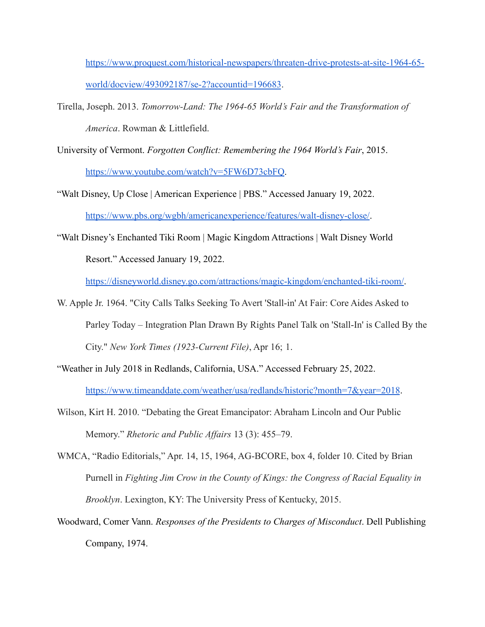[https://www.proquest.com/historical-newspapers/threaten-drive-protests-at-site-1964-65](https://www.proquest.com/historical-newspapers/threaten-drive-protests-at-site-1964-65-world/docview/493092187/se-2?accountid=196683) [world/docview/493092187/se-2?accountid=196683](https://www.proquest.com/historical-newspapers/threaten-drive-protests-at-site-1964-65-world/docview/493092187/se-2?accountid=196683).

- Tirella, Joseph. 2013. *Tomorrow-Land: The 1964-65 World's Fair and the Transformation of America*. Rowman & Littlefield.
- University of Vermont. *Forgotten Conflict: Remembering the 1964 World's Fair*, 2015. <https://www.youtube.com/watch?v=5FW6D73cbFQ>.
- "Walt Disney, Up Close | American Experience | PBS." Accessed January 19, 2022. [https://www.pbs.org/wgbh/americanexperience/features/walt-disney-close/.](https://www.pbs.org/wgbh/americanexperience/features/walt-disney-close/)
- "Walt Disney's Enchanted Tiki Room | Magic Kingdom Attractions | Walt Disney World Resort." Accessed January 19, 2022.

<https://disneyworld.disney.go.com/attractions/magic-kingdom/enchanted-tiki-room/>.

- W. Apple Jr. 1964. "City Calls Talks Seeking To Avert 'Stall-in' At Fair: Core Aides Asked to Parley Today – Integration Plan Drawn By Rights Panel Talk on 'Stall-In' is Called By the City." *New York Times (1923-Current File)*, Apr 16; 1.
- "Weather in July 2018 in Redlands, California, USA." Accessed February 25, 2022. <https://www.timeanddate.com/weather/usa/redlands/historic?month=7&year=2018>.
- Wilson, Kirt H. 2010. "Debating the Great Emancipator: Abraham Lincoln and Our Public Memory." *Rhetoric and Public Affairs* 13 (3): 455–79.
- WMCA, "Radio Editorials," Apr. 14, 15, 1964, AG-BCORE, box 4, folder 10. Cited by Brian Purnell in *Fighting Jim Crow in the County of Kings: the Congress of Racial Equality in Brooklyn*. Lexington, KY: The University Press of Kentucky, 2015.
- Woodward, Comer Vann. *Responses of the Presidents to Charges of Misconduct*. Dell Publishing Company, 1974.